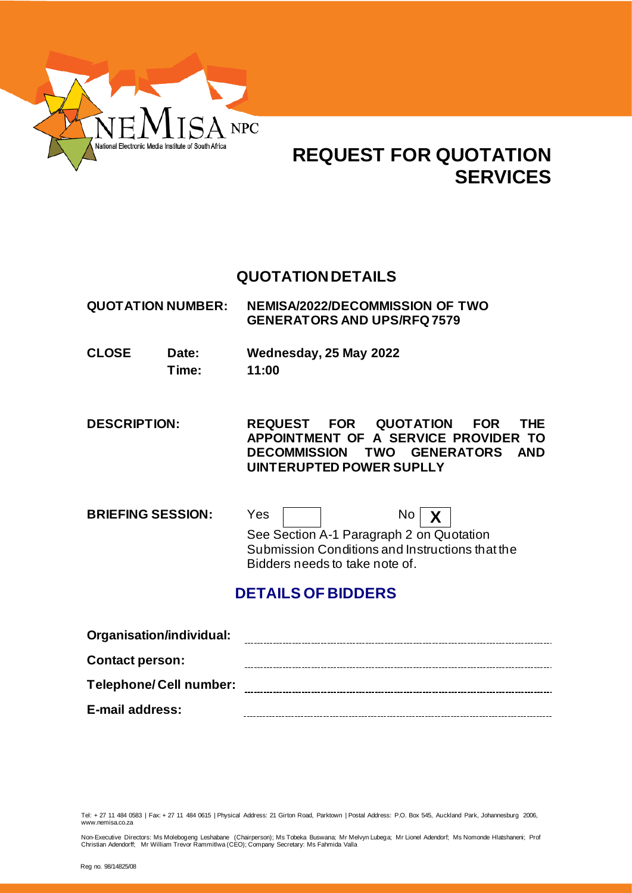

# **REQUEST FOR QUOTATION SERVICES**

# **QUOTATIONDETAILS**

**QUOTATION NUMBER: NEMISA/2022/DECOMMISSION OF TWO GENERATORS AND UPS/RFQ 7579**

**CLOSE Date: Wednesday, 25 May 2022 Time: 11:00**

**DESCRIPTION: REQUEST FOR QUOTATION FOR THE APPOINTMENT OF A SERVICE PROVIDER TO DECOMMISSION TWO GENERATORS AND UINTERUPTED POWER SUPLLY** 

**BRIEFING SESSION:** Yes | | No | **X** See Section A-1 Paragraph 2 on Quotation Submission Conditions and Instructions that the Bidders needs to take note of.

# **DETAILS OF BIDDERS**

| Organisation/individual:      |  |
|-------------------------------|--|
| <b>Contact person:</b>        |  |
| <b>Telephone/Cell number:</b> |  |
| E-mail address:               |  |

Tel: + 27 11 484 0583 | Fax: + 27 11 484 0615 | Physical Address: 21 Girton Road, Parktown | Postal Address: P.O. Box 545, Auckland Park, Johannesburg 2006, www.nemisa.co.za

Non-Executive Directors: Ms Molebogeng Leshabane (Chairperson); Ms Tobeka Buswana; Mr Melvyn Lubega; Mr Lionel Adendorf; Ms Nomonde Hlatshaneni; Prof<br>Christian Adendorff; Mr William Trevor Rammitlwa (CEO); Company Secret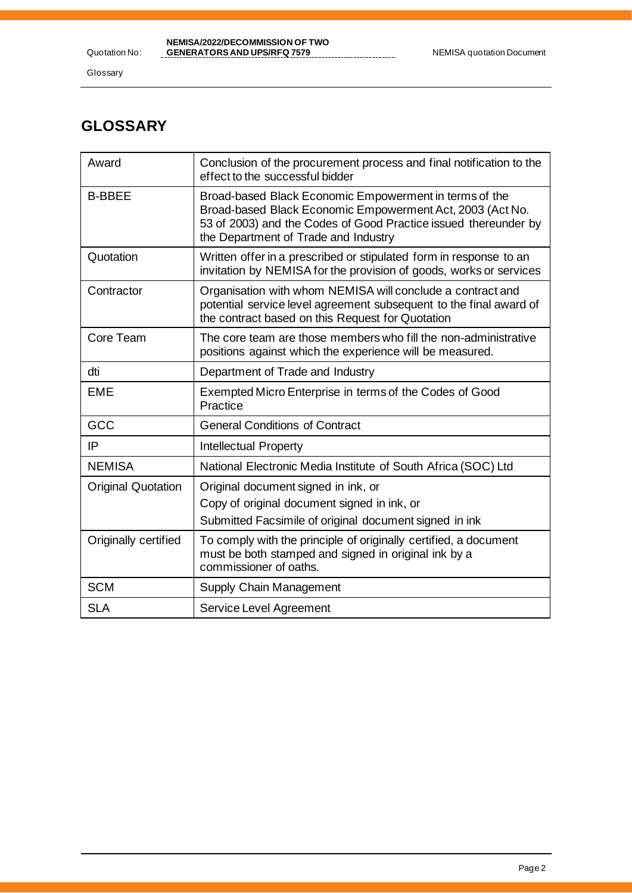Glossary

# **GLOSSARY**

| Award                     | Conclusion of the procurement process and final notification to the<br>effect to the successful bidder                                                                                                                         |
|---------------------------|--------------------------------------------------------------------------------------------------------------------------------------------------------------------------------------------------------------------------------|
| <b>B-BBEE</b>             | Broad-based Black Economic Empowerment in terms of the<br>Broad-based Black Economic Empowerment Act, 2003 (Act No.<br>53 of 2003) and the Codes of Good Practice issued thereunder by<br>the Department of Trade and Industry |
| Quotation                 | Written offer in a prescribed or stipulated form in response to an<br>invitation by NEMISA for the provision of goods, works or services                                                                                       |
| Contractor                | Organisation with whom NEMISA will conclude a contract and<br>potential service level agreement subsequent to the final award of<br>the contract based on this Request for Quotation                                           |
| Core Team                 | The core team are those members who fill the non-administrative<br>positions against which the experience will be measured.                                                                                                    |
| dti                       | Department of Trade and Industry                                                                                                                                                                                               |
| <b>EME</b>                | Exempted Micro Enterprise in terms of the Codes of Good<br>Practice                                                                                                                                                            |
| GCC                       | <b>General Conditions of Contract</b>                                                                                                                                                                                          |
| IP                        | <b>Intellectual Property</b>                                                                                                                                                                                                   |
| <b>NEMISA</b>             | National Electronic Media Institute of South Africa (SOC) Ltd                                                                                                                                                                  |
| <b>Original Quotation</b> | Original document signed in ink, or<br>Copy of original document signed in ink, or<br>Submitted Facsimile of original document signed in ink                                                                                   |
| Originally certified      | To comply with the principle of originally certified, a document<br>must be both stamped and signed in original ink by a<br>commissioner of oaths.                                                                             |
| <b>SCM</b>                | Supply Chain Management                                                                                                                                                                                                        |
| <b>SLA</b>                | Service Level Agreement                                                                                                                                                                                                        |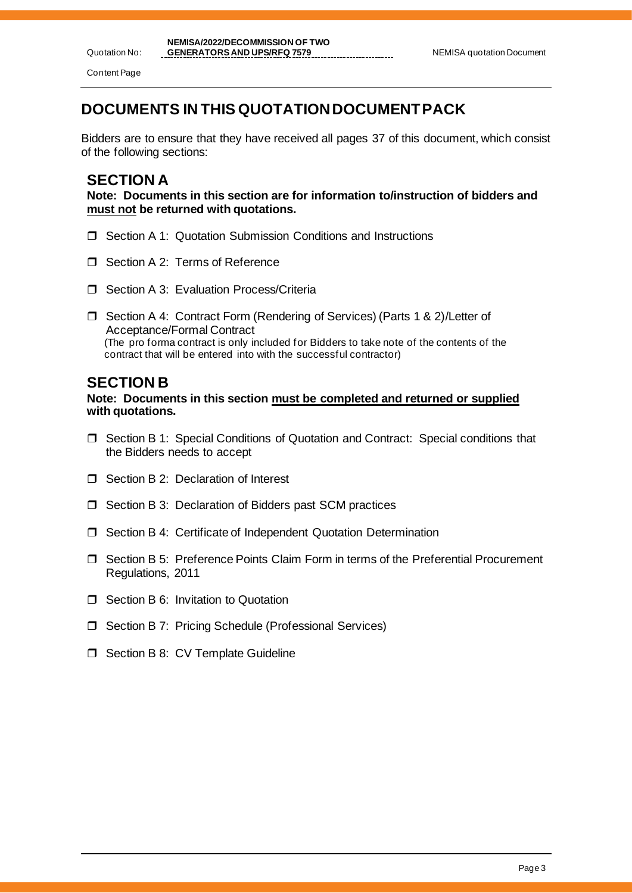Quotation No: Content Page

# **DOCUMENTS IN THIS QUOTATIONDOCUMENT PACK**

Bidders are to ensure that they have received all pages 37 of this document, which consist of the following sections:

## **SECTION A**

**Note: Documents in this section are for information to/instruction of bidders and must not be returned with quotations.**

- □ Section A 1: Quotation Submission Conditions and Instructions
- □ Section A 2: Terms of Reference
- $\Box$  Section A 3: Evaluation Process/Criteria
- □ Section A 4: Contract Form (Rendering of Services) (Parts 1 & 2)/Letter of Acceptance/Formal Contract (The pro forma contract is only included for Bidders to take note of the contents of the contract that will be entered into with the successful contractor)

## **SECTION B**

**Note: Documents in this section must be completed and returned or supplied with quotations.**

- Section B 1: Special Conditions of Quotation and Contract: Special conditions that the Bidders needs to accept
- □ Section B 2: Declaration of Interest
- $\Box$  Section B 3: Declaration of Bidders past SCM practices
- □ Section B 4: Certificate of Independent Quotation Determination
- Section B 5: Preference Points Claim Form in terms of the Preferential Procurement Regulations, 2011
- $\Box$  Section B 6: Invitation to Quotation
- □ Section B 7: Pricing Schedule (Professional Services)
- **J** Section B 8: CV Template Guideline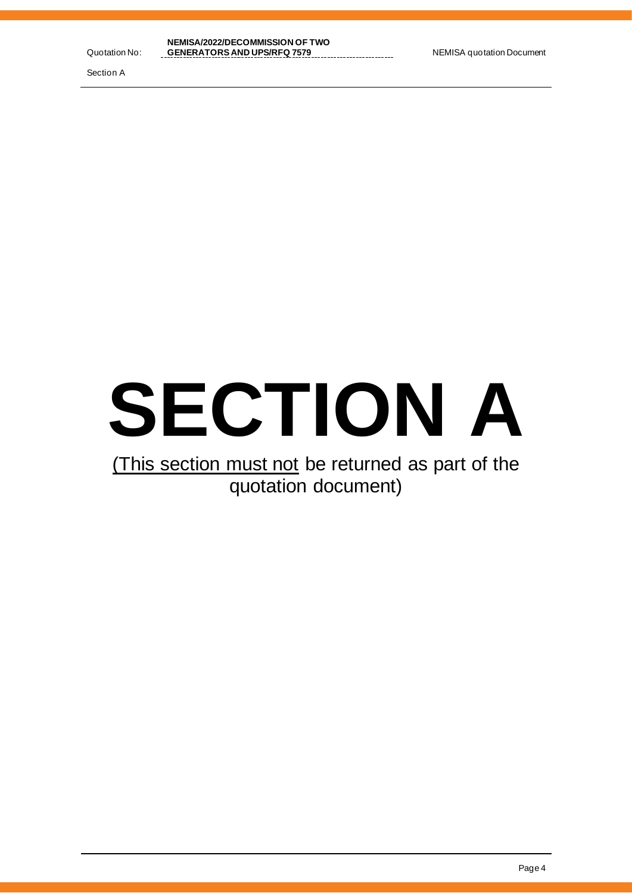Section A



# (This section must not be returned as part of the quotation document)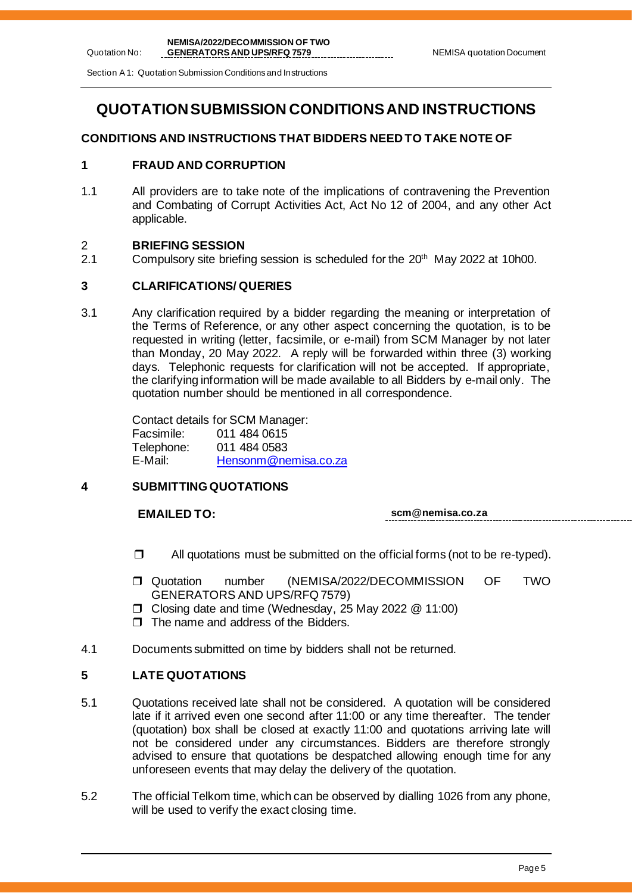Section A 1: Quotation Submission Conditions and Instructions

# **QUOTATIONSUBMISSION CONDITIONS AND INSTRUCTIONS**

## **CONDITIONS AND INSTRUCTIONS THAT BIDDERS NEED TO TAKE NOTE OF**

## **1 FRAUD AND CORRUPTION**

1.1 All providers are to take note of the implications of contravening the Prevention and Combating of Corrupt Activities Act, Act No 12 of 2004, and any other Act applicable.

# 2 **BRIEFING SESSION**

Quotation No:

Compulsory site briefing session is scheduled for the  $20<sup>th</sup>$  May 2022 at 10h00.

## **3 CLARIFICATIONS/ QUERIES**

3.1 Any clarification required by a bidder regarding the meaning or interpretation of the Terms of Reference, or any other aspect concerning the quotation, is to be requested in writing (letter, facsimile, or e-mail) from SCM Manager by not later than Monday, 20 May 2022. A reply will be forwarded within three (3) working days. Telephonic requests for clarification will not be accepted. If appropriate, the clarifying information will be made available to all Bidders by e-mail only. The quotation number should be mentioned in all correspondence.

> Contact details for SCM Manager: Facsimile: 011 484 0615 011 484 0583 E-Mail: [Hensonm@nemisa.co.za](mailto:Hensonm@nemisa.co.za)

## **4 SUBMITTING QUOTATIONS**

**EMAILED TO: scm@nemisa.co.za**

- $\Box$  All quotations must be submitted on the official forms (not to be re-typed).
- Quotation number (NEMISA/2022/DECOMMISSION OF TWO GENERATORS AND UPS/RFQ 7579)
- Closing date and time (Wednesday, 25 May 2022 @ 11:00)
- $\Box$  The name and address of the Bidders.
- 4.1 Documents submitted on time by bidders shall not be returned.

## **5 LATE QUOTATIONS**

- 5.1 Quotations received late shall not be considered. A quotation will be considered late if it arrived even one second after 11:00 or any time thereafter. The tender (quotation) box shall be closed at exactly 11:00 and quotations arriving late will not be considered under any circumstances. Bidders are therefore strongly advised to ensure that quotations be despatched allowing enough time for any unforeseen events that may delay the delivery of the quotation.
- 5.2 The official Telkom time, which can be observed by dialling 1026 from any phone, will be used to verify the exact closing time.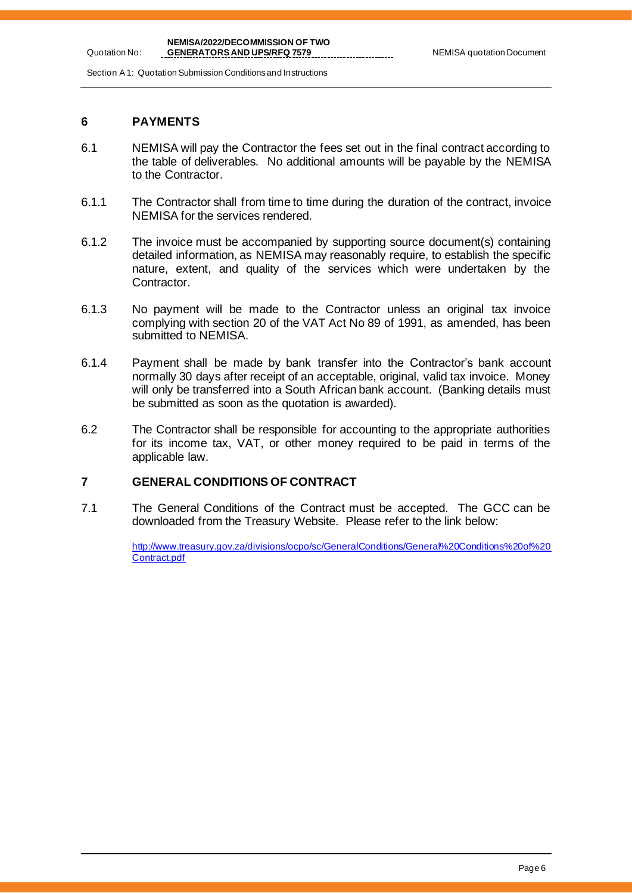Section A 1: Quotation Submission Conditions and Instructions

## **6 PAYMENTS**

Quotation No:

- 6.1 NEMISA will pay the Contractor the fees set out in the final contract according to the table of deliverables. No additional amounts will be payable by the NEMISA to the Contractor.
- 6.1.1 The Contractor shall from time to time during the duration of the contract, invoice NEMISA for the services rendered.
- 6.1.2 The invoice must be accompanied by supporting source document(s) containing detailed information, as NEMISA may reasonably require, to establish the specific nature, extent, and quality of the services which were undertaken by the Contractor.
- 6.1.3 No payment will be made to the Contractor unless an original tax invoice complying with section 20 of the VAT Act No 89 of 1991, as amended, has been submitted to NEMISA.
- 6.1.4 Payment shall be made by bank transfer into the Contractor's bank account normally 30 days after receipt of an acceptable, original, valid tax invoice. Money will only be transferred into a South African bank account. (Banking details must be submitted as soon as the quotation is awarded).
- 6.2 The Contractor shall be responsible for accounting to the appropriate authorities for its income tax, VAT, or other money required to be paid in terms of the applicable law.

## **7 GENERAL CONDITIONS OF CONTRACT**

7.1 The General Conditions of the Contract must be accepted. The GCC can be downloaded from the Treasury Website. Please refer to the link below:

> [http://www.treasury.gov.za/divisions/ocpo/sc/GeneralConditions/General%20Conditions%20of%20](http://www.treasury.gov.za/divisions/ocpo/sc/GeneralConditions/General%20Conditions%20of%20Contract.pdf) [Contract.pdf](http://www.treasury.gov.za/divisions/ocpo/sc/GeneralConditions/General%20Conditions%20of%20Contract.pdf)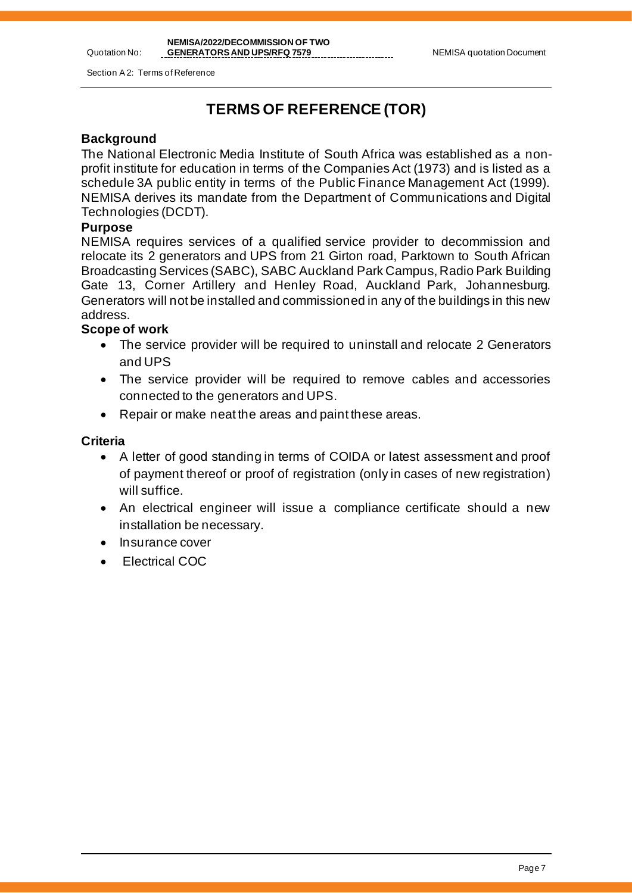Section A 2: Terms of Reference

# **TERMS OF REFERENCE (TOR)**

## **Background**

Quotation No:

The National Electronic Media Institute of South Africa was established as a nonprofit institute for education in terms of the Companies Act (1973) and is listed as a schedule 3A public entity in terms of the Public Finance Management Act (1999). NEMISA derives its mandate from the Department of Communications and Digital Technologies (DCDT).

## **Purpose**

NEMISA requires services of a qualified service provider to decommission and relocate its 2 generators and UPS from 21 Girton road, Parktown to South African Broadcasting Services (SABC), SABC Auckland Park Campus, Radio Park Building Gate 13, Corner Artillery and Henley Road, Auckland Park, Johannesburg. Generators will not be installed and commissioned in any of the buildings in this new address.

## **Scope of work**

- The service provider will be required to uninstall and relocate 2 Generators and UPS
- The service provider will be required to remove cables and accessories connected to the generators and UPS.
- Repair or make neat the areas and paint these areas.

## **Criteria**

- A letter of good standing in terms of COIDA or latest assessment and proof of payment thereof or proof of registration (only in cases of new registration) will suffice.
- An electrical engineer will issue a compliance certificate should a new installation be necessary.
- Insurance cover
- Electrical COC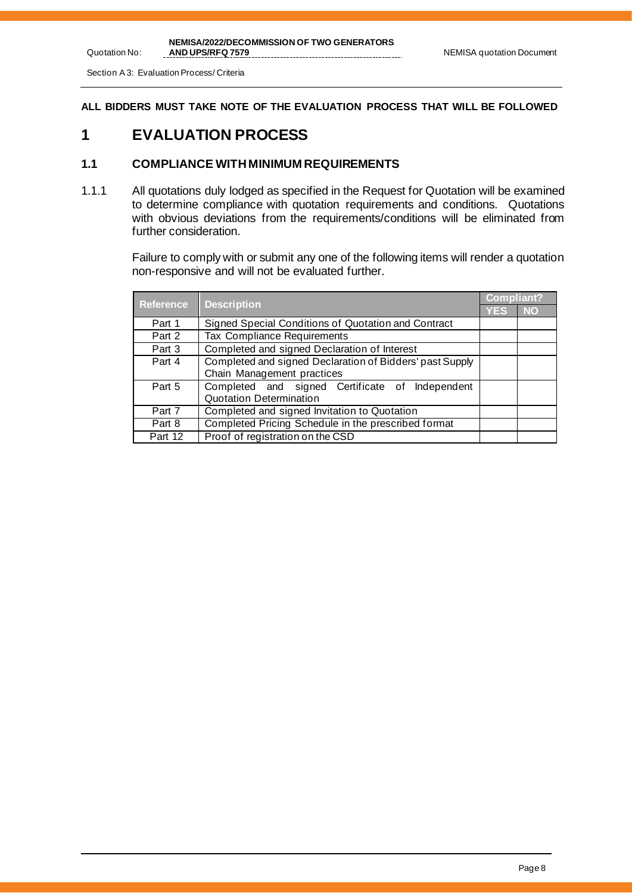Section A 3: Evaluation Process/ Criteria

**ALL BIDDERS MUST TAKE NOTE OF THE EVALUATION PROCESS THAT WILL BE FOLLOWED**

## **1 EVALUATION PROCESS**

## **1.1 COMPLIANCE WITH MINIMUM REQUIREMENTS**

1.1.1 All quotations duly lodged as specified in the Request for Quotation will be examined to determine compliance with quotation requirements and conditions. Quotations with obvious deviations from the requirements/conditions will be eliminated from further consideration.

> Failure to comply with or submit any one of the following items will render a quotation non-responsive and will not be evaluated further.

| <b>Reference</b> |                                                          | <b>Compliant?</b> |           |
|------------------|----------------------------------------------------------|-------------------|-----------|
|                  | <b>Description</b>                                       | <b>YES</b>        | <b>NO</b> |
| Part 1           | Signed Special Conditions of Quotation and Contract      |                   |           |
| Part 2           | Tax Compliance Requirements                              |                   |           |
| Part 3           | Completed and signed Declaration of Interest             |                   |           |
| Part 4           | Completed and signed Declaration of Bidders' past Supply |                   |           |
|                  | Chain Management practices                               |                   |           |
| Part 5           | Completed and signed Certificate of Independent          |                   |           |
|                  | Quotation Determination                                  |                   |           |
| Part 7           | Completed and signed Invitation to Quotation             |                   |           |
| Part 8           | Completed Pricing Schedule in the prescribed format      |                   |           |
| Part 12          | Proof of registration on the CSD                         |                   |           |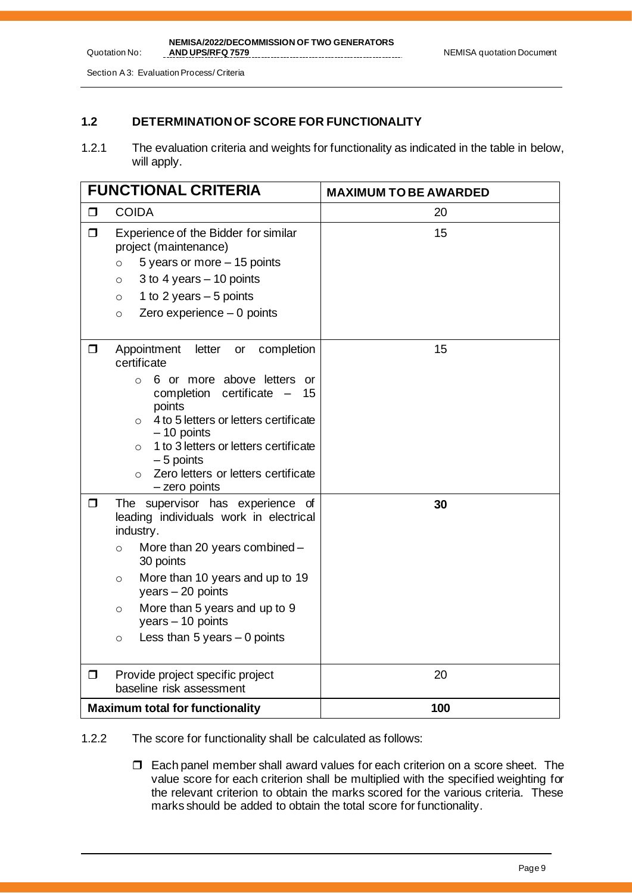Section A 3: Evaluation Process/ Criteria

## **1.2 DETERMINATION OF SCORE FOR FUNCTIONALITY**

1.2.1 The evaluation criteria and weights for functionality as indicated in the table in below, will apply.

|        | <b>FUNCTIONAL CRITERIA</b>                                                                                                                                                                                                                                                                                                                                 | <b>MAXIMUM TO BE AWARDED</b> |  |
|--------|------------------------------------------------------------------------------------------------------------------------------------------------------------------------------------------------------------------------------------------------------------------------------------------------------------------------------------------------------------|------------------------------|--|
| $\Box$ | <b>COIDA</b>                                                                                                                                                                                                                                                                                                                                               | 20                           |  |
| $\Box$ | Experience of the Bidder for similar<br>project (maintenance)<br>5 years or more - 15 points<br>$\circ$<br>3 to 4 years $-$ 10 points<br>$\circ$<br>1 to 2 years $-5$ points<br>$\circ$<br>Zero experience $-0$ points<br>$\circ$                                                                                                                          | 15                           |  |
| $\Box$ | Appointment<br>completion<br>letter<br>or<br>certificate<br>6 or more above letters or<br>$\circ$<br>certificate -<br>completion<br>15<br>points<br>4 to 5 letters or letters certificate<br>$\circ$<br>$-10$ points<br>1 to 3 letters or letters certificate<br>$\circ$<br>$-5$ points<br>Zero letters or letters certificate<br>$\circ$<br>- zero points | 15                           |  |
| $\Box$ | The supervisor has experience of<br>leading individuals work in electrical<br>industry.<br>More than 20 years combined -<br>$\circ$<br>30 points<br>More than 10 years and up to 19<br>$\circ$<br>years $-20$ points<br>More than 5 years and up to 9<br>$\circ$<br>$years - 10 points$<br>Less than 5 years $-$ 0 points<br>$\circ$                       | 30                           |  |
| $\Box$ | Provide project specific project<br>baseline risk assessment                                                                                                                                                                                                                                                                                               | 20                           |  |
|        | <b>Maximum total for functionality</b>                                                                                                                                                                                                                                                                                                                     | 100                          |  |

1.2.2 The score for functionality shall be calculated as follows:

 $\Box$  Each panel member shall award values for each criterion on a score sheet. The value score for each criterion shall be multiplied with the specified weighting for the relevant criterion to obtain the marks scored for the various criteria. These marks should be added to obtain the total score for functionality.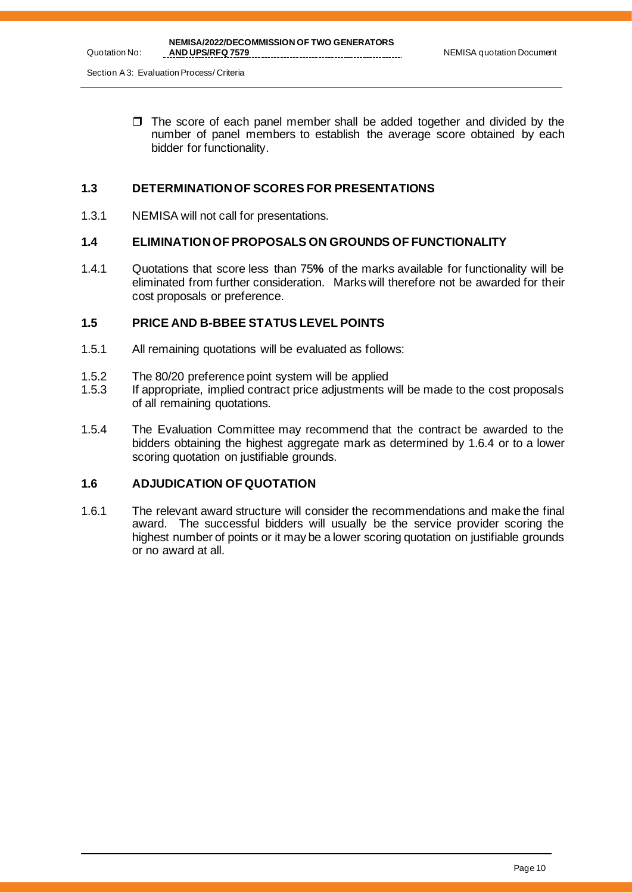Section A 3: Evaluation Process/ Criteria

 $\Box$  The score of each panel member shall be added together and divided by the number of panel members to establish the average score obtained by each bidder for functionality.

## **1.3 DETERMINATION OF SCORES FOR PRESENTATIONS**

1.3.1 NEMISA will not call for presentations.

## **1.4 ELIMINATION OF PROPOSALS ON GROUNDS OF FUNCTIONALITY**

1.4.1 Quotations that score less than 75**%** of the marks available for functionality will be eliminated from further consideration. Marks will therefore not be awarded for their cost proposals or preference.

## **1.5 PRICE AND B-BBEE STATUS LEVEL POINTS**

- 1.5.1 All remaining quotations will be evaluated as follows:
- 1.5.2 The 80/20 preference point system will be applied
- 1.5.3 If appropriate, implied contract price adjustments will be made to the cost proposals of all remaining quotations.
- 1.5.4 The Evaluation Committee may recommend that the contract be awarded to the bidders obtaining the highest aggregate mark as determined by 1.6.4 or to a lower scoring quotation on justifiable grounds.

## **1.6 ADJUDICATION OF QUOTATION**

1.6.1 The relevant award structure will consider the recommendations and make the final award. The successful bidders will usually be the service provider scoring the highest number of points or it may be a lower scoring quotation on justifiable grounds or no award at all.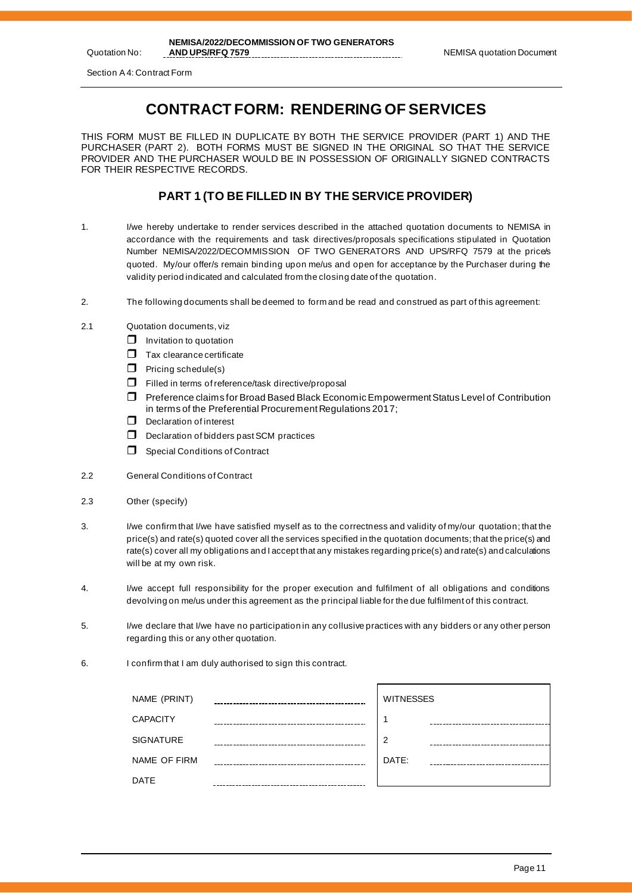# **CONTRACT FORM: RENDERING OF SERVICES**

THIS FORM MUST BE FILLED IN DUPLICATE BY BOTH THE SERVICE PROVIDER (PART 1) AND THE PURCHASER (PART 2). BOTH FORMS MUST BE SIGNED IN THE ORIGINAL SO THAT THE SERVICE PROVIDER AND THE PURCHASER WOULD BE IN POSSESSION OF ORIGINALLY SIGNED CONTRACTS FOR THEIR RESPECTIVE RECORDS.

## **PART 1 (TO BE FILLED IN BY THE SERVICE PROVIDER)**

- 1. I/we hereby undertake to render services described in the attached quotation documents to NEMISA in accordance with the requirements and task directives/proposals specifications stipulated in Quotation Number NEMISA/2022/DECOMMISSION OF TWO GENERATORS AND UPS/RFQ 7579 at the price/s quoted. My/our offer/s remain binding upon me/us and open for acceptance by the Purchaser during the validity period indicated and calculated from the closing date of the quotation.
- 2. The following documents shall be deemed to form and be read and construed as part of this agreement:
- 2.1 Quotation documents, viz
	- $\Box$  Invitation to quotation
	- $\Box$  Tax clearance certificate
	- $\Box$  Pricing schedule(s)
	- $\Box$  Filled in terms of reference/task directive/proposal
	- Preference claims for Broad Based Black Economic Empowerment Status Level of Contribution in terms of the Preferential Procurement Regulations 2017;
	- $\Box$  Declaration of interest
	- D Declaration of bidders past SCM practices
	- $\Box$  Special Conditions of Contract
- 2.2 General Conditions of Contract
- 2.3 Other (specify)
- 3. I/we confirm that I/we have satisfied myself as to the correctness and validity of my/our quotation; that the price(s) and rate(s) quoted cover all the services specified in the quotation documents; that the price(s) and rate(s) cover all my obligations and I accept that any mistakes regarding price(s) and rate(s) and calculations will be at my own risk.
- 4. I/we accept full responsibility for the proper execution and fulfilment of all obligations and conditions devolving on me/us under this agreement as the p rincipal liable for the due fulfilment of this contract.
- 5. I/we declare that I/we have no participation in any collusive practices with any bidders or any other person regarding this or any other quotation.
- 6. I confirm that I am duly authorised to sign this contract.

| NAME (PRINT)     | <b>WITNESSES</b> |
|------------------|------------------|
| <b>CAPACITY</b>  |                  |
| <b>SIGNATURE</b> | っ                |
| NAME OF FIRM     | DATE:            |
| <b>DATE</b>      |                  |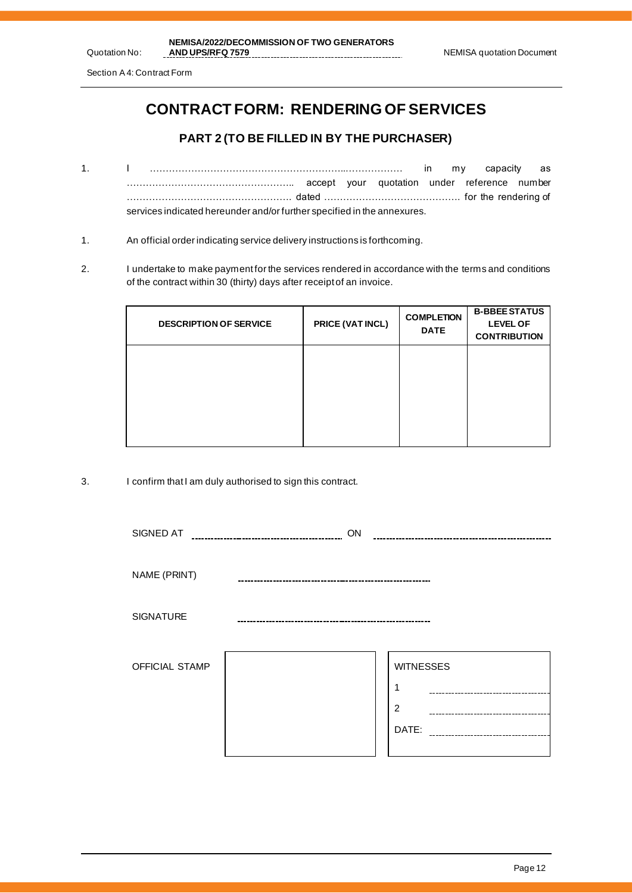# **CONTRACT FORM: RENDERING OF SERVICES**

## **PART 2 (TO BE FILLED IN BY THE PURCHASER)**

- 1. I ……………………………………………………..……………… in my capacity as …………………………………………….. accept your quotation under reference number ……………………………………………. dated ……………………………………. for the rendering of services indicated hereunder and/or further specified in the annexures.
- 1. An official order indicating service delivery instructions is forthcoming.
- 2. I undertake to make payment for the services rendered in accordance with the terms and conditions of the contract within 30 (thirty) days after receipt of an invoice.

| <b>DESCRIPTION OF SERVICE</b> | PRICE (VAT INCL) | <b>COMPLETION</b><br><b>DATE</b> | <b>B-BBEE STATUS</b><br><b>LEVEL OF</b><br><b>CONTRIBUTION</b> |
|-------------------------------|------------------|----------------------------------|----------------------------------------------------------------|
|                               |                  |                                  |                                                                |
|                               |                  |                                  |                                                                |
|                               |                  |                                  |                                                                |

3. I confirm that I am duly authorised to sign this contract.

| SIGNED AT        | ON |                                                                                      |
|------------------|----|--------------------------------------------------------------------------------------|
| NAME (PRINT)     |    |                                                                                      |
| <b>SIGNATURE</b> |    |                                                                                      |
| OFFICIAL STAMP   |    | <b>WITNESSES</b><br>1<br>$\overline{2}$<br>DATE:<br>-------------------------------- |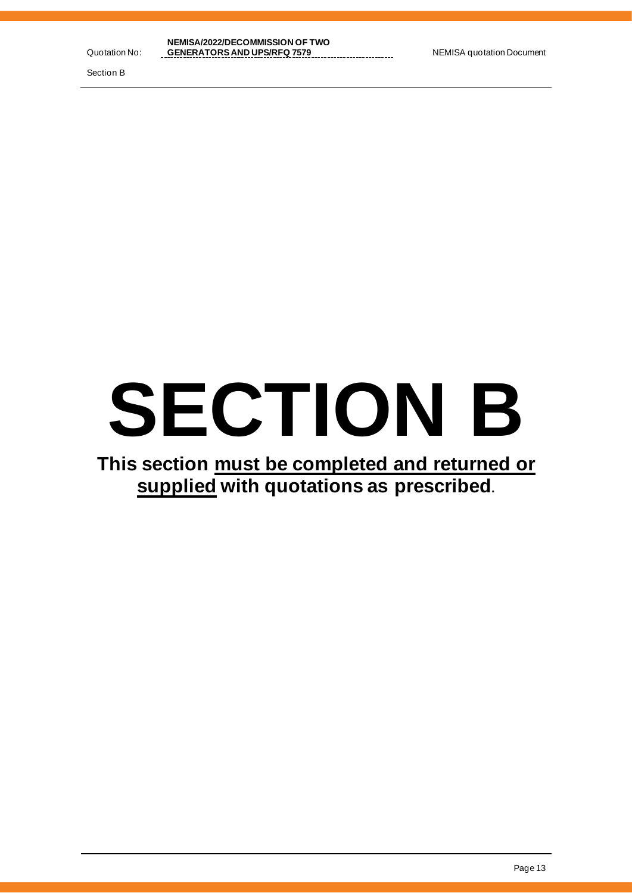Section B

# **SECTION B**

# **This section must be completed and returned or supplied with quotations as prescribed.**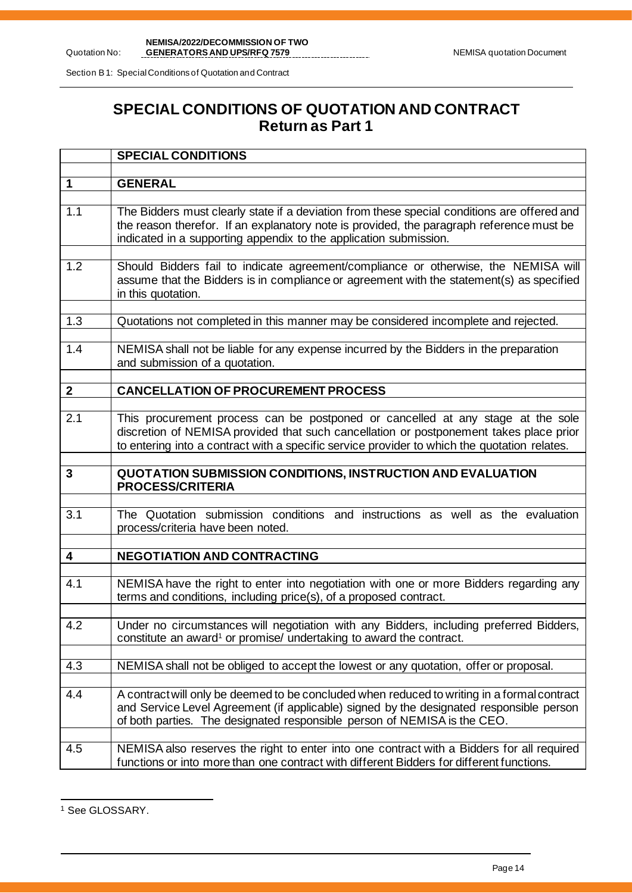Section B 1: Special Conditions of Quotation and Contract

# **SPECIAL CONDITIONS OF QUOTATION AND CONTRACT Return as Part 1**

|                | <b>SPECIAL CONDITIONS</b>                                                                                                                                                                                                                                                 |
|----------------|---------------------------------------------------------------------------------------------------------------------------------------------------------------------------------------------------------------------------------------------------------------------------|
| $\mathbf 1$    | <b>GENERAL</b>                                                                                                                                                                                                                                                            |
|                |                                                                                                                                                                                                                                                                           |
| 1.1            | The Bidders must clearly state if a deviation from these special conditions are offered and<br>the reason therefor. If an explanatory note is provided, the paragraph reference must be<br>indicated in a supporting appendix to the application submission.              |
| 1.2            | Should Bidders fail to indicate agreement/compliance or otherwise, the NEMISA will<br>assume that the Bidders is in compliance or agreement with the statement(s) as specified<br>in this quotation.                                                                      |
| 1.3            | Quotations not completed in this manner may be considered incomplete and rejected.                                                                                                                                                                                        |
| 1.4            | NEMISA shall not be liable for any expense incurred by the Bidders in the preparation<br>and submission of a quotation.                                                                                                                                                   |
| $\overline{2}$ | <b>CANCELLATION OF PROCUREMENT PROCESS</b>                                                                                                                                                                                                                                |
|                |                                                                                                                                                                                                                                                                           |
| 2.1            | This procurement process can be postponed or cancelled at any stage at the sole<br>discretion of NEMISA provided that such cancellation or postponement takes place prior<br>to entering into a contract with a specific service provider to which the quotation relates. |
|                |                                                                                                                                                                                                                                                                           |
| 3              | <b>QUOTATION SUBMISSION CONDITIONS, INSTRUCTION AND EVALUATION</b><br><b>PROCESS/CRITERIA</b>                                                                                                                                                                             |
| 3.1            | The Quotation submission conditions and instructions as well as the evaluation<br>process/criteria have been noted.                                                                                                                                                       |
| 4              | <b>NEGOTIATION AND CONTRACTING</b>                                                                                                                                                                                                                                        |
|                |                                                                                                                                                                                                                                                                           |
| 4.1            | NEMISA have the right to enter into negotiation with one or more Bidders regarding any<br>terms and conditions, including price(s), of a proposed contract.                                                                                                               |
| 4.2            | Under no circumstances will negotiation with any Bidders, including preferred Bidders,<br>constitute an award <sup>1</sup> or promise/ undertaking to award the contract.                                                                                                 |
| 4.3            | NEMISA shall not be obliged to accept the lowest or any quotation, offer or proposal.                                                                                                                                                                                     |
| 4.4            | A contract will only be deemed to be concluded when reduced to writing in a formal contract<br>and Service Level Agreement (if applicable) signed by the designated responsible person<br>of both parties. The designated responsible person of NEMISA is the CEO.        |
| 4.5            | NEMISA also reserves the right to enter into one contract with a Bidders for all required<br>functions or into more than one contract with different Bidders for different functions.                                                                                     |

<sup>&</sup>lt;sup>1</sup> See GLOSSARY.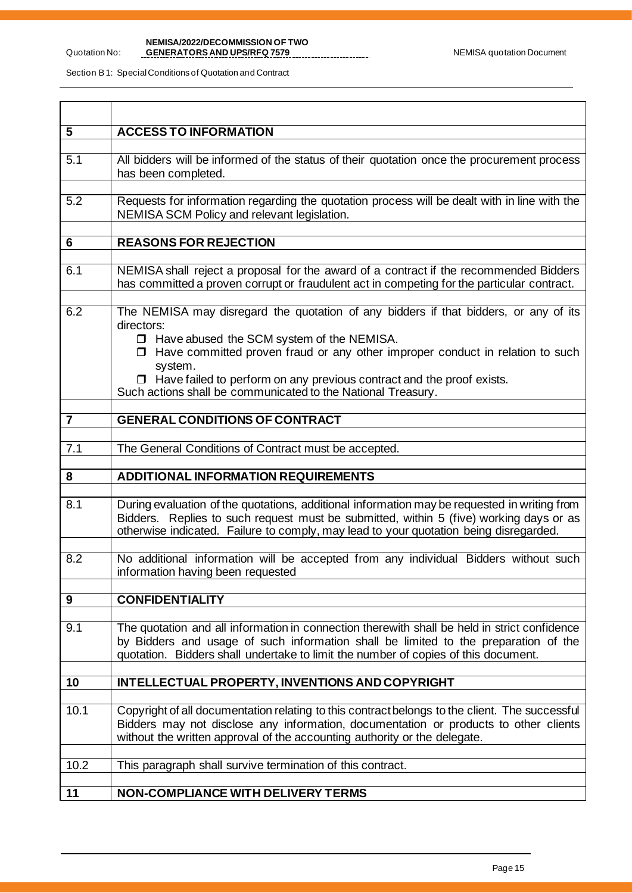Section B 1: Special Conditions of Quotation and Contract

Quotation No:

| 5              | <b>ACCESS TO INFORMATION</b>                                                                                                                                                                                                                                                                                                                                                                              |
|----------------|-----------------------------------------------------------------------------------------------------------------------------------------------------------------------------------------------------------------------------------------------------------------------------------------------------------------------------------------------------------------------------------------------------------|
| 5.1            | All bidders will be informed of the status of their quotation once the procurement process<br>has been completed.                                                                                                                                                                                                                                                                                         |
| 5.2            | Requests for information regarding the quotation process will be dealt with in line with the<br>NEMISA SCM Policy and relevant legislation.                                                                                                                                                                                                                                                               |
| $6\phantom{1}$ | <b>REASONS FOR REJECTION</b>                                                                                                                                                                                                                                                                                                                                                                              |
| 6.1            | NEMISA shall reject a proposal for the award of a contract if the recommended Bidders<br>has committed a proven corrupt or fraudulent act in competing for the particular contract.                                                                                                                                                                                                                       |
| 6.2            | The NEMISA may disregard the quotation of any bidders if that bidders, or any of its<br>directors:<br>$\Box$ Have abused the SCM system of the NEMISA.<br>$\Box$ Have committed proven fraud or any other improper conduct in relation to such<br>system.<br>$\Box$ Have failed to perform on any previous contract and the proof exists.<br>Such actions shall be communicated to the National Treasury. |
| $\overline{7}$ | <b>GENERAL CONDITIONS OF CONTRACT</b>                                                                                                                                                                                                                                                                                                                                                                     |
| 7.1            | The General Conditions of Contract must be accepted.                                                                                                                                                                                                                                                                                                                                                      |
| 8              | <b>ADDITIONAL INFORMATION REQUIREMENTS</b>                                                                                                                                                                                                                                                                                                                                                                |
|                |                                                                                                                                                                                                                                                                                                                                                                                                           |
| 8.1            | During evaluation of the quotations, additional information may be requested in writing from<br>Bidders. Replies to such request must be submitted, within 5 (five) working days or as<br>otherwise indicated. Failure to comply, may lead to your quotation being disregarded.                                                                                                                           |
| 8.2            | No additional information will be accepted from any individual Bidders without such<br>information having been requested                                                                                                                                                                                                                                                                                  |
| 9              | <b>CONFIDENTIALITY</b>                                                                                                                                                                                                                                                                                                                                                                                    |
|                |                                                                                                                                                                                                                                                                                                                                                                                                           |
| 9.1            | The quotation and all information in connection therewith shall be held in strict confidence<br>by Bidders and usage of such information shall be limited to the preparation of the<br>quotation. Bidders shall undertake to limit the number of copies of this document.                                                                                                                                 |
| 10             | INTELLECTUAL PROPERTY, INVENTIONS AND COPYRIGHT                                                                                                                                                                                                                                                                                                                                                           |
|                |                                                                                                                                                                                                                                                                                                                                                                                                           |
| 10.1           | Copyright of all documentation relating to this contract belongs to the client. The successful<br>Bidders may not disclose any information, documentation or products to other clients<br>without the written approval of the accounting authority or the delegate.                                                                                                                                       |
| 10.2           | This paragraph shall survive termination of this contract.                                                                                                                                                                                                                                                                                                                                                |
| 11             | <b>NON-COMPLIANCE WITH DELIVERY TERMS</b>                                                                                                                                                                                                                                                                                                                                                                 |
|                |                                                                                                                                                                                                                                                                                                                                                                                                           |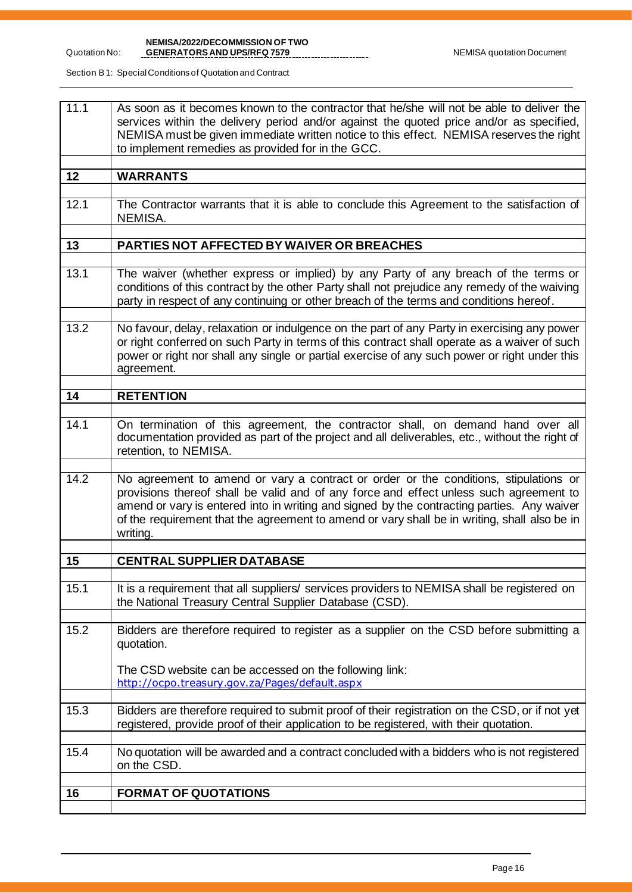#### Quotation No: **NEMISA/2022/DECOMMISSION OF TWO**

Section B 1: Special Conditions of Quotation and Contract

| 11.1 | As soon as it becomes known to the contractor that he/she will not be able to deliver the<br>services within the delivery period and/or against the quoted price and/or as specified,<br>NEMISA must be given immediate written notice to this effect. NEMISA reserves the right<br>to implement remedies as provided for in the GCC.                                                    |
|------|------------------------------------------------------------------------------------------------------------------------------------------------------------------------------------------------------------------------------------------------------------------------------------------------------------------------------------------------------------------------------------------|
| 12   | <b>WARRANTS</b>                                                                                                                                                                                                                                                                                                                                                                          |
| 12.1 | The Contractor warrants that it is able to conclude this Agreement to the satisfaction of<br>NEMISA.                                                                                                                                                                                                                                                                                     |
| 13   | PARTIES NOT AFFECTED BY WAIVER OR BREACHES                                                                                                                                                                                                                                                                                                                                               |
| 13.1 | The waiver (whether express or implied) by any Party of any breach of the terms or<br>conditions of this contract by the other Party shall not prejudice any remedy of the waiving<br>party in respect of any continuing or other breach of the terms and conditions hereof.                                                                                                             |
| 13.2 | No favour, delay, relaxation or indulgence on the part of any Party in exercising any power<br>or right conferred on such Party in terms of this contract shall operate as a waiver of such<br>power or right nor shall any single or partial exercise of any such power or right under this<br>agreement.                                                                               |
| 14   | <b>RETENTION</b>                                                                                                                                                                                                                                                                                                                                                                         |
| 14.1 | On termination of this agreement, the contractor shall, on demand hand over all<br>documentation provided as part of the project and all deliverables, etc., without the right of<br>retention, to NEMISA.                                                                                                                                                                               |
| 14.2 | No agreement to amend or vary a contract or order or the conditions, stipulations or<br>provisions thereof shall be valid and of any force and effect unless such agreement to<br>amend or vary is entered into in writing and signed by the contracting parties. Any waiver<br>of the requirement that the agreement to amend or vary shall be in writing, shall also be in<br>writing. |
| 15   | <b>CENTRAL SUPPLIER DATABASE</b>                                                                                                                                                                                                                                                                                                                                                         |
| 15.1 | It is a requirement that all suppliers/ services providers to NEMISA shall be registered on<br>the National Treasury Central Supplier Database (CSD).                                                                                                                                                                                                                                    |
| 15.2 | Bidders are therefore required to register as a supplier on the CSD before submitting a<br>quotation.<br>The CSD website can be accessed on the following link:<br>http://ocpo.treasury.gov.za/Pages/default.aspx                                                                                                                                                                        |
| 15.3 | Bidders are therefore required to submit proof of their registration on the CSD, or if not yet<br>registered, provide proof of their application to be registered, with their quotation.                                                                                                                                                                                                 |
| 15.4 | No quotation will be awarded and a contract concluded with a bidders who is not registered<br>on the CSD.                                                                                                                                                                                                                                                                                |
| 16   | <b>FORMAT OF QUOTATIONS</b>                                                                                                                                                                                                                                                                                                                                                              |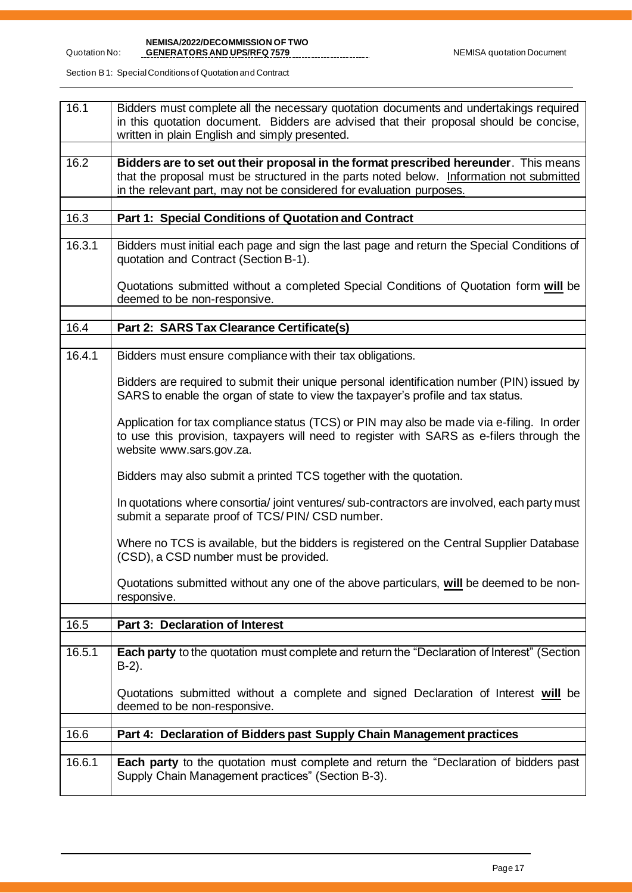**NEMISA/2022/DECOMMISSION OF TWO** 

Section B 1: Special Conditions of Quotation and Contract

| 16.1   | Bidders must complete all the necessary quotation documents and undertakings required<br>in this quotation document. Bidders are advised that their proposal should be concise,<br>written in plain English and simply presented.                        |
|--------|----------------------------------------------------------------------------------------------------------------------------------------------------------------------------------------------------------------------------------------------------------|
|        |                                                                                                                                                                                                                                                          |
| 16.2   | Bidders are to set out their proposal in the format prescribed hereunder. This means<br>that the proposal must be structured in the parts noted below. Information not submitted<br>in the relevant part, may not be considered for evaluation purposes. |
|        |                                                                                                                                                                                                                                                          |
| 16.3   | Part 1: Special Conditions of Quotation and Contract                                                                                                                                                                                                     |
| 16.3.1 | Bidders must initial each page and sign the last page and return the Special Conditions of<br>quotation and Contract (Section B-1).                                                                                                                      |
|        | Quotations submitted without a completed Special Conditions of Quotation form will be<br>deemed to be non-responsive.                                                                                                                                    |
|        |                                                                                                                                                                                                                                                          |
| 16.4   | Part 2: SARS Tax Clearance Certificate(s)                                                                                                                                                                                                                |
|        |                                                                                                                                                                                                                                                          |
| 16.4.1 | Bidders must ensure compliance with their tax obligations.                                                                                                                                                                                               |
|        | Bidders are required to submit their unique personal identification number (PIN) issued by<br>SARS to enable the organ of state to view the taxpayer's profile and tax status.                                                                           |
|        |                                                                                                                                                                                                                                                          |
|        | Application for tax compliance status (TCS) or PIN may also be made via e-filing. In order<br>to use this provision, taxpayers will need to register with SARS as e-filers through the<br>website www.sars.gov.za.                                       |
|        | Bidders may also submit a printed TCS together with the quotation.                                                                                                                                                                                       |
|        | In quotations where consortia/ joint ventures/ sub-contractors are involved, each party must<br>submit a separate proof of TCS/PIN/CSD number.                                                                                                           |
|        | Where no TCS is available, but the bidders is registered on the Central Supplier Database<br>(CSD), a CSD number must be provided.                                                                                                                       |
|        | Quotations submitted without any one of the above particulars, will be deemed to be non-<br>responsive.                                                                                                                                                  |
|        |                                                                                                                                                                                                                                                          |
| 16.5   | <b>Part 3: Declaration of Interest</b>                                                                                                                                                                                                                   |
|        |                                                                                                                                                                                                                                                          |
| 16.5.1 | Each party to the quotation must complete and return the "Declaration of Interest" (Section<br>$B-2$ ).                                                                                                                                                  |
|        | Quotations submitted without a complete and signed Declaration of Interest will be<br>deemed to be non-responsive.                                                                                                                                       |
| 16.6   |                                                                                                                                                                                                                                                          |
|        | Part 4: Declaration of Bidders past Supply Chain Management practices                                                                                                                                                                                    |
|        |                                                                                                                                                                                                                                                          |
| 16.6.1 | Each party to the quotation must complete and return the "Declaration of bidders past<br>Supply Chain Management practices" (Section B-3).                                                                                                               |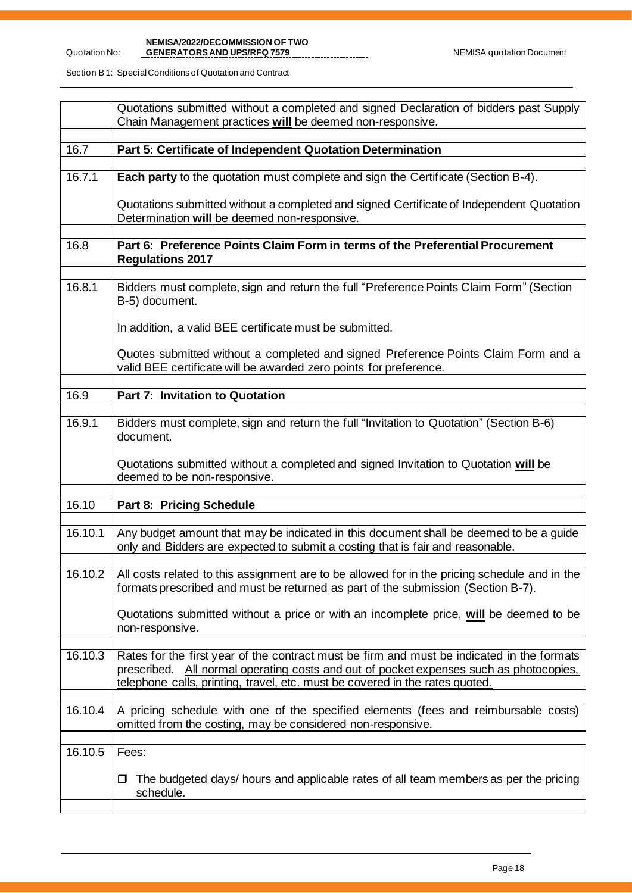#### **NEMISA/2022/DECOMMISSION OF TWO GENERATORS AND UPS/RFQ 7579 New York Control Control of Control Control Control Control Control Control Control Control Control Control Control Control Control Control Control Control Control Control Control Control Contr**

Section B 1: Special Conditions of Quotation and Contract

Quotation No:

|         | Quotations submitted without a completed and signed Declaration of bidders past Supply<br>Chain Management practices will be deemed non-responsive.                                                                                                                  |
|---------|----------------------------------------------------------------------------------------------------------------------------------------------------------------------------------------------------------------------------------------------------------------------|
| 16.7    | Part 5: Certificate of Independent Quotation Determination                                                                                                                                                                                                           |
| 16.7.1  | Each party to the quotation must complete and sign the Certificate (Section B-4).                                                                                                                                                                                    |
|         | Quotations submitted without a completed and signed Certificate of Independent Quotation<br>Determination will be deemed non-responsive.                                                                                                                             |
| 16.8    | Part 6: Preference Points Claim Form in terms of the Preferential Procurement<br><b>Regulations 2017</b>                                                                                                                                                             |
| 16.8.1  | Bidders must complete, sign and return the full "Preference Points Claim Form" (Section<br>B-5) document.                                                                                                                                                            |
|         | In addition, a valid BEE certificate must be submitted.                                                                                                                                                                                                              |
|         | Quotes submitted without a completed and signed Preference Points Claim Form and a<br>valid BEE certificate will be awarded zero points for preference.                                                                                                              |
| 16.9    | Part 7: Invitation to Quotation                                                                                                                                                                                                                                      |
| 16.9.1  | Bidders must complete, sign and return the full "Invitation to Quotation" (Section B-6)<br>document.                                                                                                                                                                 |
|         | Quotations submitted without a completed and signed Invitation to Quotation will be<br>deemed to be non-responsive.                                                                                                                                                  |
| 16.10   | Part 8: Pricing Schedule                                                                                                                                                                                                                                             |
| 16.10.1 | Any budget amount that may be indicated in this document shall be deemed to be a guide<br>only and Bidders are expected to submit a costing that is fair and reasonable.                                                                                             |
|         | 16.10.2   All costs related to this assignment are to be allowed for in the pricing schedule and in the<br>formats prescribed and must be returned as part of the submission (Section B-7).                                                                          |
|         | Quotations submitted without a price or with an incomplete price, will be deemed to be<br>non-responsive.                                                                                                                                                            |
| 16.10.3 | Rates for the first year of the contract must be firm and must be indicated in the formats<br>prescribed. All normal operating costs and out of pocket expenses such as photocopies,<br>telephone calls, printing, travel, etc. must be covered in the rates quoted. |
| 16.10.4 | A pricing schedule with one of the specified elements (fees and reimbursable costs)<br>omitted from the costing, may be considered non-responsive.                                                                                                                   |
| 16.10.5 | Fees:                                                                                                                                                                                                                                                                |
|         | The budgeted days/ hours and applicable rates of all team members as per the pricing<br>$\Box$<br>schedule.                                                                                                                                                          |
|         |                                                                                                                                                                                                                                                                      |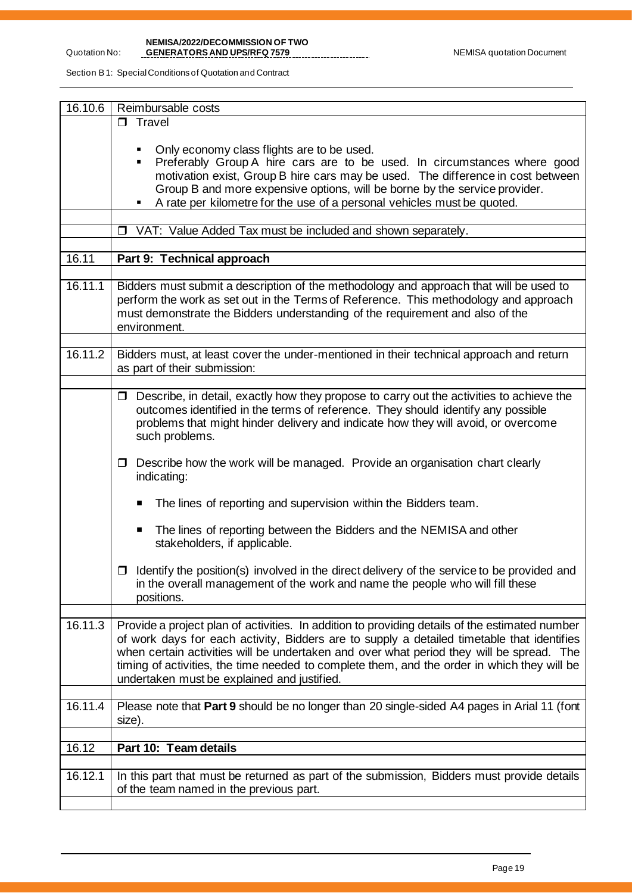**NEMISA/2022/DECOMMISSION OF TWO** 

Section B 1: Special Conditions of Quotation and Contract

| 16.10.6 | Reimbursable costs                                                                                                                                                                                                                                                                                                                                                                                                                     |  |  |  |
|---------|----------------------------------------------------------------------------------------------------------------------------------------------------------------------------------------------------------------------------------------------------------------------------------------------------------------------------------------------------------------------------------------------------------------------------------------|--|--|--|
|         | $\Box$ Travel                                                                                                                                                                                                                                                                                                                                                                                                                          |  |  |  |
|         | Only economy class flights are to be used.<br>Preferably Group A hire cars are to be used. In circumstances where good<br>motivation exist, Group B hire cars may be used. The difference in cost between<br>Group B and more expensive options, will be borne by the service provider.<br>A rate per kilometre for the use of a personal vehicles must be quoted.<br>٠                                                                |  |  |  |
|         |                                                                                                                                                                                                                                                                                                                                                                                                                                        |  |  |  |
|         | □ VAT: Value Added Tax must be included and shown separately.                                                                                                                                                                                                                                                                                                                                                                          |  |  |  |
| 16.11   | Part 9: Technical approach                                                                                                                                                                                                                                                                                                                                                                                                             |  |  |  |
|         |                                                                                                                                                                                                                                                                                                                                                                                                                                        |  |  |  |
| 16.11.1 | Bidders must submit a description of the methodology and approach that will be used to<br>perform the work as set out in the Terms of Reference. This methodology and approach<br>must demonstrate the Bidders understanding of the requirement and also of the<br>environment.                                                                                                                                                        |  |  |  |
|         |                                                                                                                                                                                                                                                                                                                                                                                                                                        |  |  |  |
| 16.11.2 | Bidders must, at least cover the under-mentioned in their technical approach and return<br>as part of their submission:                                                                                                                                                                                                                                                                                                                |  |  |  |
|         |                                                                                                                                                                                                                                                                                                                                                                                                                                        |  |  |  |
|         | $\Box$ Describe, in detail, exactly how they propose to carry out the activities to achieve the<br>outcomes identified in the terms of reference. They should identify any possible<br>problems that might hinder delivery and indicate how they will avoid, or overcome<br>such problems.                                                                                                                                             |  |  |  |
|         | Describe how the work will be managed. Provide an organisation chart clearly<br>$\Box$<br>indicating:                                                                                                                                                                                                                                                                                                                                  |  |  |  |
|         | The lines of reporting and supervision within the Bidders team.<br>п                                                                                                                                                                                                                                                                                                                                                                   |  |  |  |
|         | The lines of reporting between the Bidders and the NEMISA and other<br>п<br>stakeholders, if applicable.                                                                                                                                                                                                                                                                                                                               |  |  |  |
|         | Identify the position(s) involved in the direct delivery of the service to be provided and<br>0<br>in the overall management of the work and name the people who will fill these<br>positions.                                                                                                                                                                                                                                         |  |  |  |
| 16.11.3 | Provide a project plan of activities. In addition to providing details of the estimated number<br>of work days for each activity, Bidders are to supply a detailed timetable that identifies<br>when certain activities will be undertaken and over what period they will be spread. The<br>timing of activities, the time needed to complete them, and the order in which they will be<br>undertaken must be explained and justified. |  |  |  |
| 16.11.4 | Please note that Part 9 should be no longer than 20 single-sided A4 pages in Arial 11 (font<br>size).                                                                                                                                                                                                                                                                                                                                  |  |  |  |
|         |                                                                                                                                                                                                                                                                                                                                                                                                                                        |  |  |  |
| 16.12   | Part 10: Team details                                                                                                                                                                                                                                                                                                                                                                                                                  |  |  |  |
| 16.12.1 | In this part that must be returned as part of the submission, Bidders must provide details<br>of the team named in the previous part.                                                                                                                                                                                                                                                                                                  |  |  |  |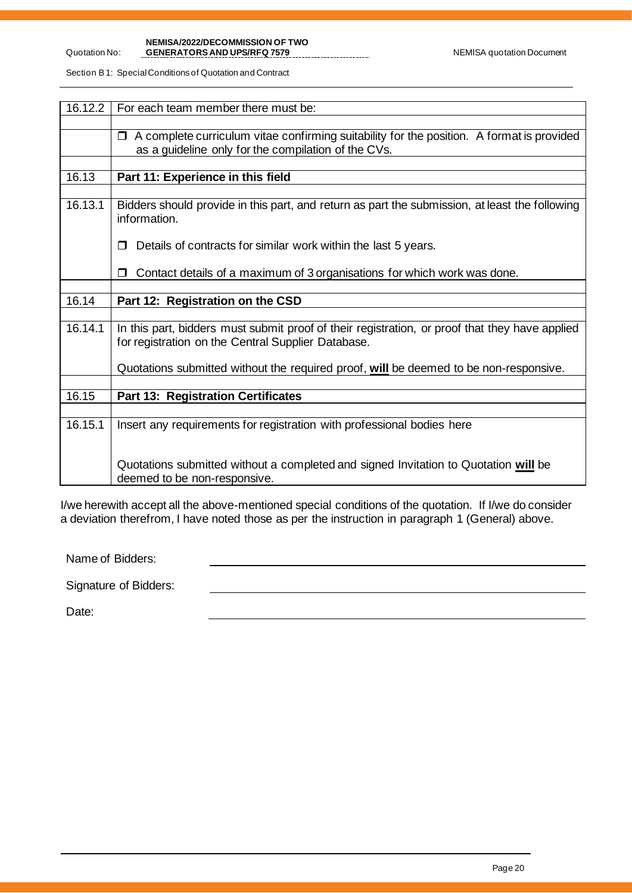## **NEMISA/2022/DECOMMISSION OF TWO GENERATORS AND UPS/RFQ 7579** NEMISA quotation Document

Section B 1: Special Conditions of Quotation and Contract

Quotation No:

| 16.12.2 | For each team member there must be:                                                                                                                        |
|---------|------------------------------------------------------------------------------------------------------------------------------------------------------------|
|         |                                                                                                                                                            |
|         | A complete curriculum vitae confirming suitability for the position. A format is provided<br>$\Box$<br>as a guideline only for the compilation of the CVs. |
|         |                                                                                                                                                            |
| 16.13   | Part 11: Experience in this field                                                                                                                          |
|         |                                                                                                                                                            |
| 16.13.1 | Bidders should provide in this part, and return as part the submission, at least the following<br>information.                                             |
|         | Details of contracts for similar work within the last 5 years.                                                                                             |
|         | Contact details of a maximum of 3 organisations for which work was done.                                                                                   |
|         |                                                                                                                                                            |
| 16.14   | Part 12: Registration on the CSD                                                                                                                           |
|         |                                                                                                                                                            |
| 16.14.1 | In this part, bidders must submit proof of their registration, or proof that they have applied<br>for registration on the Central Supplier Database.       |
|         | Quotations submitted without the required proof, will be deemed to be non-responsive.                                                                      |
|         |                                                                                                                                                            |
| 16.15   | <b>Part 13: Registration Certificates</b>                                                                                                                  |
|         |                                                                                                                                                            |
| 16.15.1 | Insert any requirements for registration with professional bodies here                                                                                     |
|         | Quotations submitted without a completed and signed Invitation to Quotation will be<br>deemed to be non-responsive.                                        |

I/we herewith accept all the above-mentioned special conditions of the quotation. If I/we do consider a deviation therefrom, I have noted those as per the instruction in paragraph 1 (General) above.

Name of Bidders:

Signature of Bidders:

Date: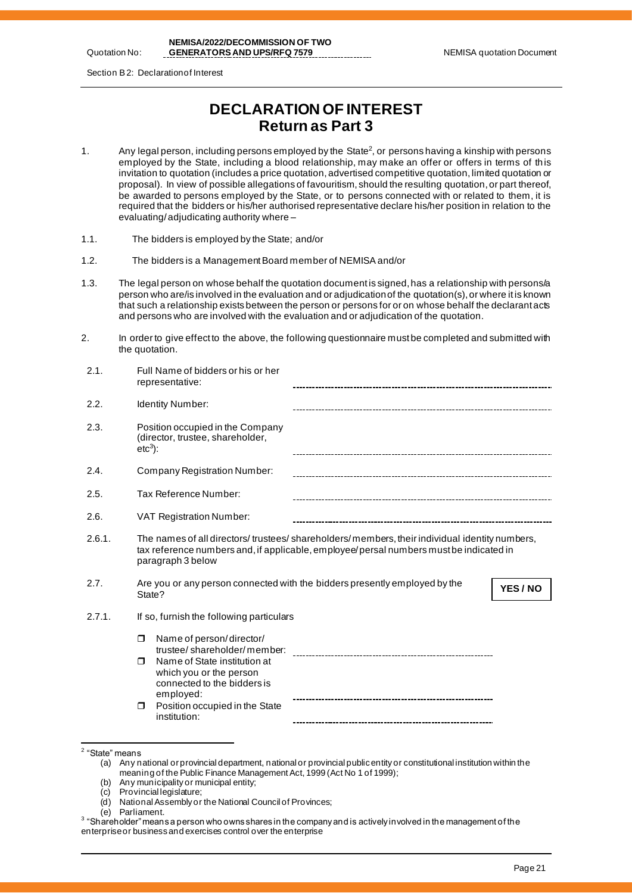Quotation No:

**NEMISA/2022/DECOMMISSION OF TWO GENERATORS AND UPS/RFQ 7579** NEMISA quotation Document

Section B 2: Declaration of Interest

# **DECLARATION OF INTEREST Return as Part 3**

- 1.  $\hskip1cm$  Any legal person, including persons employed by the State<sup>2</sup>, or persons having a kinship with persons employed by the State, including a blood relationship, may make an offer or offers in terms of th is invitation to quotation (includes a price quotation, advertised competitive quotation, limited quotation or proposal). In view of possible allegations of favouritism, should the resulting quotation, or part thereof, be awarded to persons employed by the State, or to persons connected with or related to them, it is required that the bidders or his/her authorised representative declare his/her position in relation to the evaluating/ adjudicating authority where –
- 1.1. The bidders is employed by the State; and/or
- 1.2. The bidders is a Management Board member of NEMISA and/or
- 1.3. The legal person on whose behalf the quotation document is signed, has a relationship with persons/a person who are/is involved in the evaluation and or adjudication of the quotation(s), or where it is known that such a relationship exists between the person or persons for or on whose behalf the declarant acts and persons who are involved with the evaluation and or adjudication of the quotation.
- 2. In order to give effect to the above, the following questionnaire must be completed and submitted with the quotation.

| 2.1.   | Full Name of bidders or his or her<br>representative:                                                                                                                                                       |          |
|--------|-------------------------------------------------------------------------------------------------------------------------------------------------------------------------------------------------------------|----------|
| 2.2.   | <b>Identity Number:</b>                                                                                                                                                                                     |          |
| 2.3.   | Position occupied in the Company<br>(director, trustee, shareholder,<br>$etc3$ :                                                                                                                            |          |
| 2.4.   | <b>Company Registration Number:</b>                                                                                                                                                                         |          |
| 2.5.   | Tax Reference Number:                                                                                                                                                                                       |          |
| 2.6.   | <b>VAT Registration Number:</b>                                                                                                                                                                             |          |
| 2.6.1. | The names of all directors/trustees/shareholders/members, their individual identity numbers,<br>tax reference numbers and, if applicable, employee/persal numbers must be indicated in<br>paragraph 3 below |          |
| 2.7.   | Are you or any person connected with the bidders presently employed by the<br>State?                                                                                                                        | YES / NO |
| 2.7.1. | If so, furnish the following particulars                                                                                                                                                                    |          |
|        | Name of person/director/<br>Ω<br>trustee/shareholder/member:<br>Name of State institution at<br>⊓<br>which you or the person<br>connected to the bidders is                                                 |          |
|        | employed:                                                                                                                                                                                                   |          |

- (b) Any municipality or municipal entity;<br>(c) Provincial legislature:
- Provincial legislature;
- (d) National Assembly or the National Council of Provinces;
- (e) Parliament.

<sup>&</sup>lt;sup>2</sup> "State" means

<sup>(</sup>a) Any national or provincial department, national or provincial public entity or constitutional institution within the meaning of the Public Finance Management Act, 1999 (Act No 1 of 1999);

 $^3$  "Shareholder" means a person who owns shares in the company and is actively in volved in the management of the enterprise or business and exercises control over the enterprise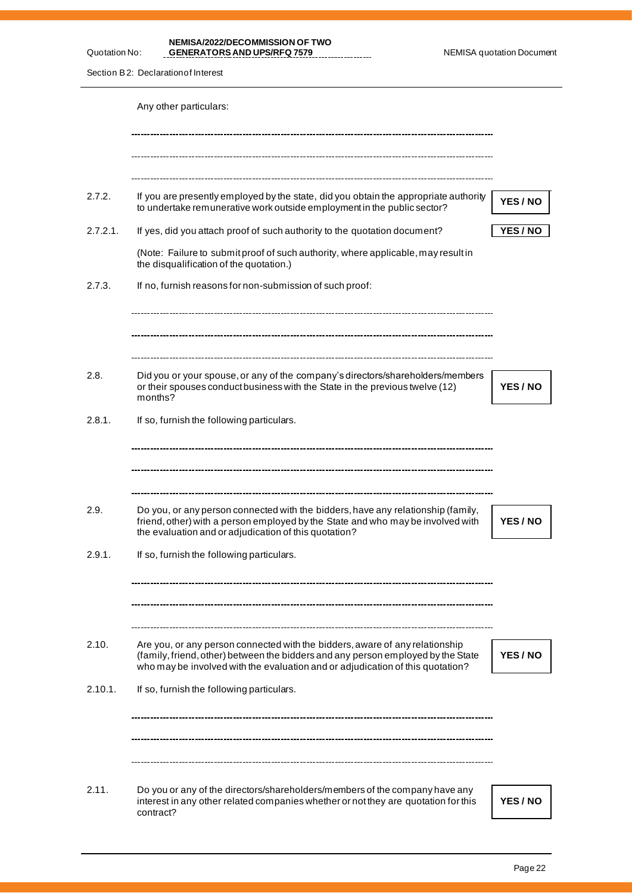**NEMISA/2022/DECOMMISSION OF TWO GENERATORS AND UPS/RFQ 7579** NEMISA quotation Document

Section B2: Declaration of Interest

Quotation No:

|          | Any other particulars:                                                                                                                                                                                                                             |                 |
|----------|----------------------------------------------------------------------------------------------------------------------------------------------------------------------------------------------------------------------------------------------------|-----------------|
|          |                                                                                                                                                                                                                                                    |                 |
| 2.7.2.   | If you are presently employed by the state, did you obtain the appropriate authority<br>to undertake remunerative work outside employment in the public sector?                                                                                    | YES / NO        |
| 2.7.2.1. | If yes, did you attach proof of such authority to the quotation document?                                                                                                                                                                          | <b>YES / NO</b> |
|          | (Note: Failure to submit proof of such authority, where applicable, may result in<br>the disqualification of the quotation.)                                                                                                                       |                 |
| 2.7.3.   | If no, furnish reasons for non-submission of such proof:                                                                                                                                                                                           |                 |
|          |                                                                                                                                                                                                                                                    |                 |
| 2.8.     | Did you or your spouse, or any of the company's directors/shareholders/members<br>or their spouses conduct business with the State in the previous twelve (12)<br>months?                                                                          | YES / NO        |
| 2.8.1.   | If so, furnish the following particulars.                                                                                                                                                                                                          |                 |
| 2.9.     | Do you, or any person connected with the bidders, have any relationship (family,<br>friend, other) with a person employed by the State and who may be involved with<br>the evaluation and or adjudication of this quotation?                       | YES / NO        |
| 2.9.1.   | If so, furnish the following particulars.                                                                                                                                                                                                          |                 |
|          |                                                                                                                                                                                                                                                    |                 |
| 2.10.    | Are you, or any person connected with the bidders, aware of any relationship<br>(family, friend, other) between the bidders and any person employed by the State<br>who may be involved with the evaluation and or adjudication of this quotation? | YES / NO        |
| 2.10.1.  | If so, furnish the following particulars.                                                                                                                                                                                                          |                 |
|          |                                                                                                                                                                                                                                                    |                 |
| 2.11.    | Do you or any of the directors/shareholders/members of the company have any<br>interest in any other related companies whether or not they are quotation for this<br>contract?                                                                     | <b>YES/NO</b>   |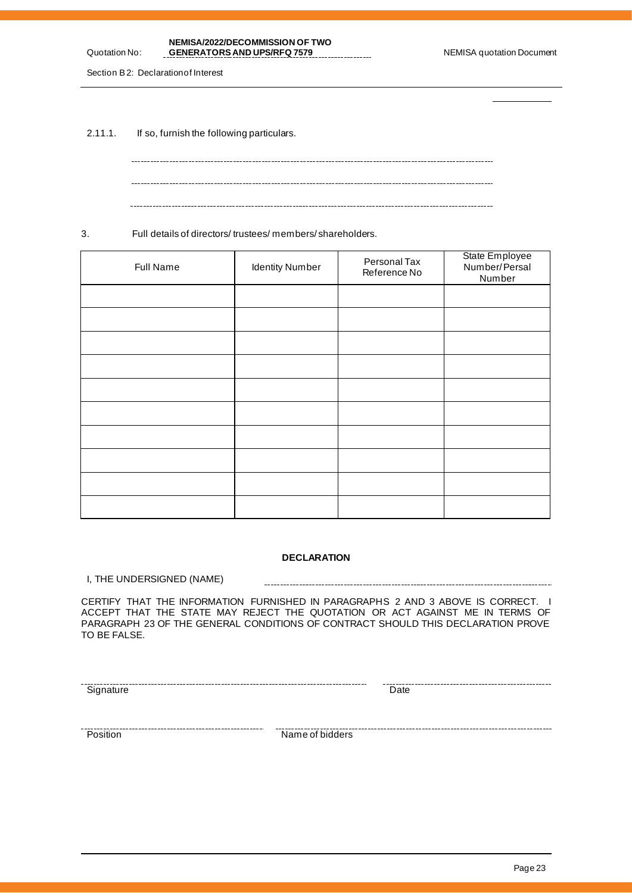| NEMISA/2022/DECOMMISSION OF TWO    |
|------------------------------------|
| <b>GENERATORS AND UPS/RFQ 7579</b> |

Section B 2: Declaration of Interest

Quotation No:

2.11.1. If so, furnish the following particulars.

3. Full details of directors/ trustees/ members/ shareholders.

| Full Name | <b>Identity Number</b> | Personal Tax<br>Reference No | State Employee<br>Number/Persal<br>Number |
|-----------|------------------------|------------------------------|-------------------------------------------|
|           |                        |                              |                                           |
|           |                        |                              |                                           |
|           |                        |                              |                                           |
|           |                        |                              |                                           |
|           |                        |                              |                                           |
|           |                        |                              |                                           |
|           |                        |                              |                                           |
|           |                        |                              |                                           |
|           |                        |                              |                                           |
|           |                        |                              |                                           |

### **DECLARATION**

I, THE UNDERSIGNED (NAME)

CERTIFY THAT THE INFORMATION FURNISHED IN PARAGRAPHS 2 AND 3 ABOVE IS CORRECT. I ACCEPT THAT THE STATE MAY REJECT THE QUOTATION OR ACT AGAINST ME IN TERMS OF PARAGRAPH 23 OF THE GENERAL CONDITIONS OF CONTRACT SHOULD THIS DECLARATION PROVE TO BE FALSE.

Signature Date

Position Name of bidders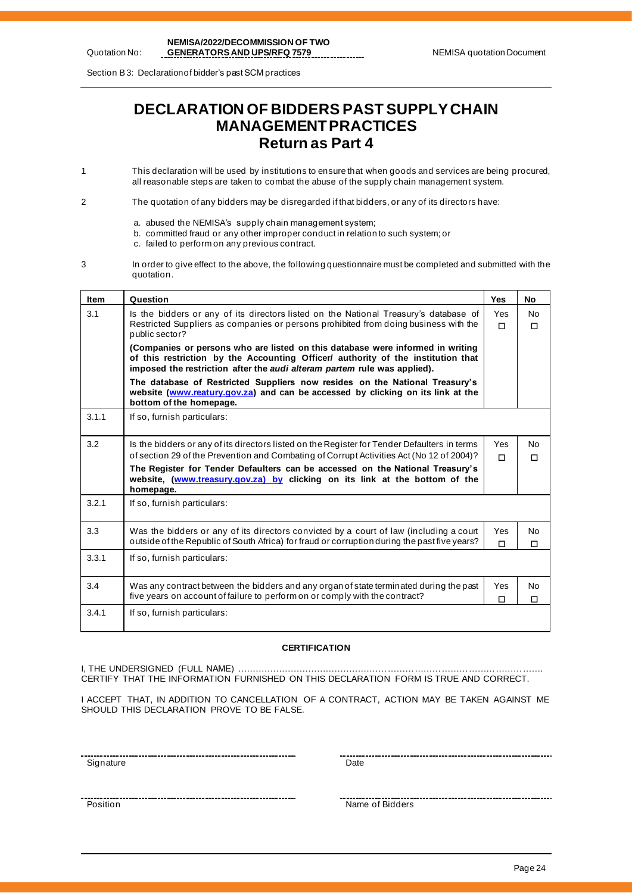Section B 3: Declaration of bidder's past SCM practices

# **DECLARATION OF BIDDERS PAST SUPPLY CHAIN MANAGEMENT PRACTICES Return as Part 4**

- 1 This declaration will be used by institutions to ensure that when goods and services are being procured, all reasonable steps are taken to combat the abuse of the supply chain management system.
- 2 The quotation of any bidders may be disregarded if that bidders, or any of its directors have:
	- a. abused the NEMISA's supply chain management system;
	- b. committed fraud or any other improper conduct in relation to such system; or
	- c. failed to perform on any previous contract.
- 3 In order to give effect to the above, the following questionnaire must be completed and submitted with the quotation.

| <b>Item</b> | Question                                                                                                                                                                                                                                       | <b>Yes</b> | No            |
|-------------|------------------------------------------------------------------------------------------------------------------------------------------------------------------------------------------------------------------------------------------------|------------|---------------|
| 3.1         | Is the bidders or any of its directors listed on the National Treasury's database of<br>Restricted Suppliers as companies or persons prohibited from doing business with the<br>public sector?                                                 | Yes<br>П   | No.<br>$\Box$ |
|             | (Companies or persons who are listed on this database were informed in writing<br>of this restriction by the Accounting Officer/ authority of the institution that<br>imposed the restriction after the audi alteram partem rule was applied). |            |               |
|             | The database of Restricted Suppliers now resides on the National Treasury's<br>website (www.reatury.gov.za) and can be accessed by clicking on its link at the<br>bottom of the homepage.                                                      |            |               |
| 3.1.1       | If so, furnish particulars:                                                                                                                                                                                                                    |            |               |
| 3.2         | Is the bidders or any of its directors listed on the Register for Tender Defaulters in terms<br>of section 29 of the Prevention and Combating of Corrupt Activities Act (No 12 of 2004)?                                                       | Yes<br>п   | No.<br>П      |
|             | The Register for Tender Defaulters can be accessed on the National Treasury's<br>website, (www.treasury.gov.za) by clicking on its link at the bottom of the<br>homepage.                                                                      |            |               |
| 3.2.1       | If so, furnish particulars:                                                                                                                                                                                                                    |            |               |
| 3.3         | Was the bidders or any of its directors convicted by a court of law (including a court<br>outside of the Republic of South Africa) for fraud or corruption during the past five years?                                                         | Yes<br>П   | No<br>п       |
| 3.3.1       | If so, furnish particulars:                                                                                                                                                                                                                    |            |               |
| 3.4         | Was any contract between the bidders and any organ of state terminated during the past<br>five years on account of failure to perform on or comply with the contract?                                                                          | Yes<br>□   | No<br>□       |
| 3.4.1       | If so, furnish particulars:                                                                                                                                                                                                                    |            |               |

#### **CERTIFICATION**

I, THE UNDERSIGNED (FULL NAME) …………………………………………………………………………………………. CERTIFY THAT THE INFORMATION FURNISHED ON THIS DECLARATION FORM IS TRUE AND CORRECT.

I ACCEPT THAT, IN ADDITION TO CANCELLATION OF A CONTRACT, ACTION MAY BE TAKEN AGAINST ME SHOULD THIS DECLARATION PROVE TO BE FALSE.

Signature **Date Contract Contract Contract Contract Contract Contract Contract Contract Contract Contract Contract Contract Contract Contract Contract Contract Contract Contract Contract Contract Contract Contract Contra** 

Position Name of Bidders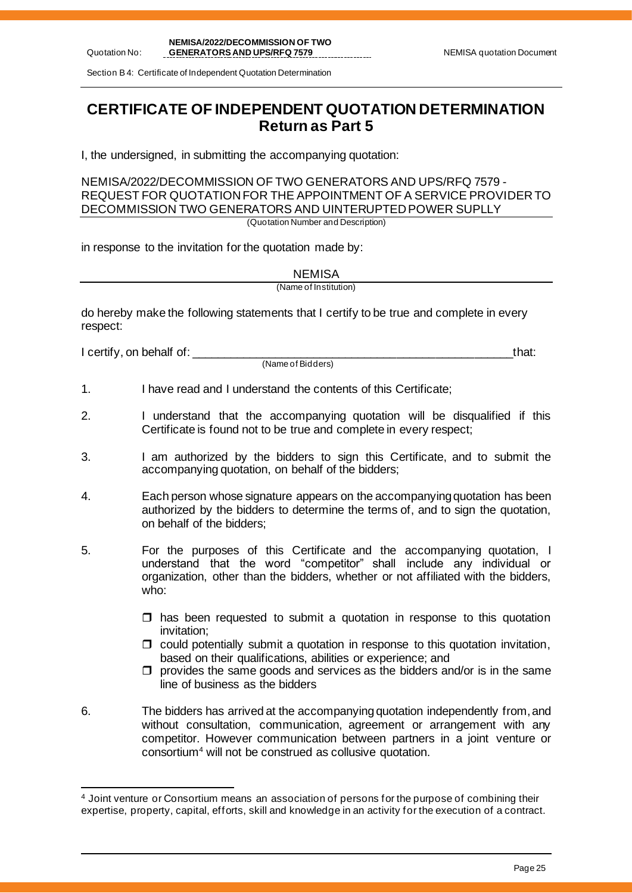Section B 4: Certificate of Independent Quotation Determination

# **CERTIFICATE OF INDEPENDENT QUOTATION DETERMINATION Return as Part 5**

I, the undersigned, in submitting the accompanying quotation:

NEMISA/2022/DECOMMISSION OF TWO GENERATORS AND UPS/RFQ 7579 - REQUEST FOR QUOTATION FOR THE APPOINTMENT OF A SERVICE PROVIDER TO DECOMMISSION TWO GENERATORS AND UINTERUPTED POWER SUPLLY

(Quotation Number and Description)

in response to the invitation for the quotation made by:

**NEMISA** 

(Name of Institution)

do hereby make the following statements that I certify to be true and complete in every respect:

I certify, on behalf of: \_\_\_\_\_\_\_\_\_\_\_\_\_\_\_\_\_\_\_\_\_\_\_\_\_\_\_\_\_\_\_\_\_\_\_\_\_\_\_\_\_\_\_\_\_\_\_\_\_\_that:

(Name of Bidders)

- 1. I have read and I understand the contents of this Certificate;
- 2. I understand that the accompanying quotation will be disqualified if this Certificate is found not to be true and complete in every respect;
- 3. I am authorized by the bidders to sign this Certificate, and to submit the accompanying quotation, on behalf of the bidders;
- 4. Each person whose signature appears on the accompanying quotation has been authorized by the bidders to determine the terms of, and to sign the quotation, on behalf of the bidders;
- 5. For the purposes of this Certificate and the accompanying quotation, I understand that the word "competitor" shall include any individual or organization, other than the bidders, whether or not affiliated with the bidders, who:
	- $\Box$  has been requested to submit a quotation in response to this quotation invitation;
	- $\Box$  could potentially submit a quotation in response to this quotation invitation, based on their qualifications, abilities or experience; and
	- $\Box$  provides the same goods and services as the bidders and/or is in the same line of business as the bidders
- 6. The bidders has arrived at the accompanying quotation independently from, and without consultation, communication, agreement or arrangement with any competitor. However communication between partners in a joint venture or consortium<sup>4</sup> will not be construed as collusive quotation.

<sup>4</sup> Joint venture or Consortium means an association of persons for the purpose of combining their expertise, property, capital, efforts, skill and knowledge in an activity for the execution of a contract.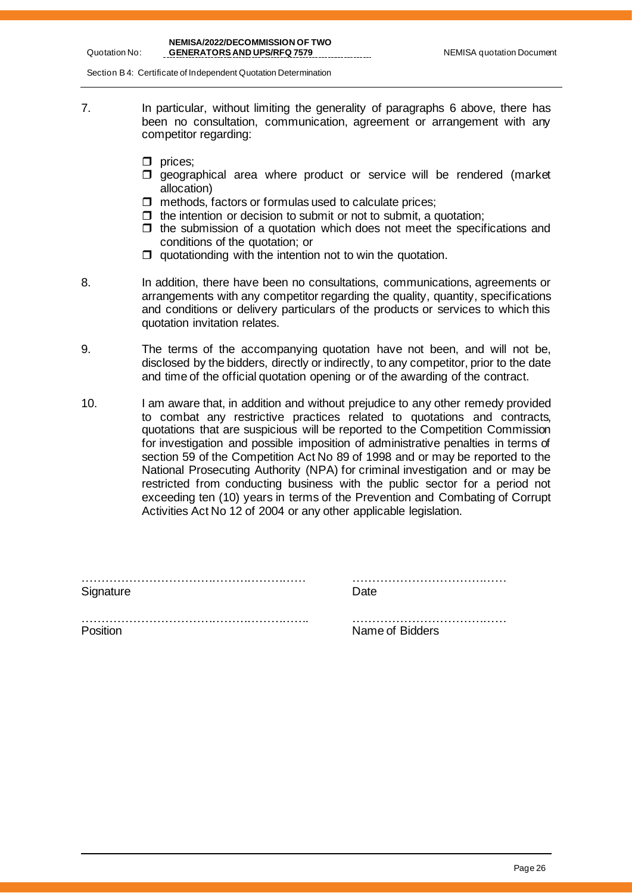Quotation No:

Section B 4: Certificate of Independent Quotation Determination

- 7. In particular, without limiting the generality of paragraphs 6 above, there has been no consultation, communication, agreement or arrangement with any competitor regarding:
	- $\Box$  prices;
	- $\Box$  geographical area where product or service will be rendered (market allocation)
	- $\Box$  methods, factors or formulas used to calculate prices;
	- $\Box$  the intention or decision to submit or not to submit, a quotation;
	- $\Box$  the submission of a quotation which does not meet the specifications and conditions of the quotation; or
	- $\Box$  quotationding with the intention not to win the quotation.
- 8. In addition, there have been no consultations, communications, agreements or arrangements with any competitor regarding the quality, quantity, specifications and conditions or delivery particulars of the products or services to which this quotation invitation relates.
- 9. The terms of the accompanying quotation have not been, and will not be, disclosed by the bidders, directly or indirectly, to any competitor, prior to the date and time of the official quotation opening or of the awarding of the contract.
- 10. I am aware that, in addition and without prejudice to any other remedy provided to combat any restrictive practices related to quotations and contracts, quotations that are suspicious will be reported to the Competition Commission for investigation and possible imposition of administrative penalties in terms of section 59 of the Competition Act No 89 of 1998 and or may be reported to the National Prosecuting Authority (NPA) for criminal investigation and or may be restricted from conducting business with the public sector for a period not exceeding ten (10) years in terms of the Prevention and Combating of Corrupt Activities Act No 12 of 2004 or any other applicable legislation.

| Signature | Date            |
|-----------|-----------------|
|           |                 |
| Position  | Name of Bidders |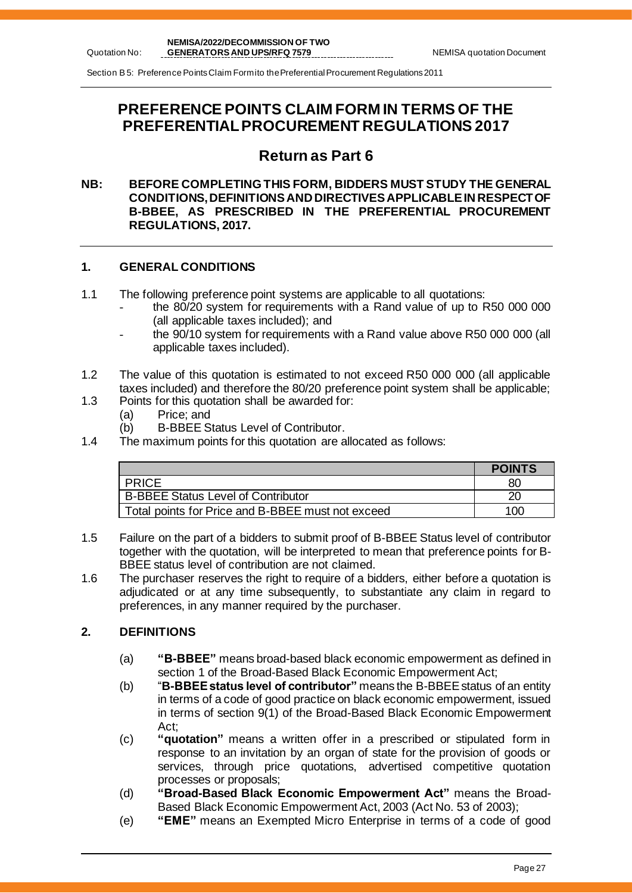Section B 5: Preference Points Claim Form ito the Preferential Procurement Regulations 2011

# **PREFERENCE POINTS CLAIM FORM IN TERMS OF THE PREFERENTIAL PROCUREMENT REGULATIONS 2017**

## **Return as Part 6**

## **NB: BEFORE COMPLETING THIS FORM, BIDDERS MUST STUDY THE GENERAL CONDITIONS, DEFINITIONS AND DIRECTIVES APPLICABLE IN RESPECT OF B-BBEE, AS PRESCRIBED IN THE PREFERENTIAL PROCUREMENT REGULATIONS, 2017.**

## **1. GENERAL CONDITIONS**

- 1.1 The following preference point systems are applicable to all quotations:
	- the 80/20 system for requirements with a Rand value of up to R50 000 000 (all applicable taxes included); and
	- the 90/10 system for requirements with a Rand value above R50 000 000 (all applicable taxes included).
- 1.2 The value of this quotation is estimated to not exceed R50 000 000 (all applicable taxes included) and therefore the 80/20 preference point system shall be applicable;
- 1.3 Points for this quotation shall be awarded for:
	- (a) Price; and<br>(b) B-BBEE S
	- B-BBEE Status Level of Contributor.
- 1.4 The maximum points for this quotation are allocated as follows:

|                                                   | <b>POINTS</b> |
|---------------------------------------------------|---------------|
| <b>PRICE</b>                                      | 80            |
| <b>B-BBEE Status Level of Contributor</b>         |               |
| Total points for Price and B-BBEE must not exceed | 100           |

- 1.5 Failure on the part of a bidders to submit proof of B-BBEE Status level of contributor together with the quotation, will be interpreted to mean that preference points for B-BBEE status level of contribution are not claimed.
- 1.6 The purchaser reserves the right to require of a bidders, either before a quotation is adjudicated or at any time subsequently, to substantiate any claim in regard to preferences, in any manner required by the purchaser.

## **2. DEFINITIONS**

- (a) **"B-BBEE"** means broad-based black economic empowerment as defined in section 1 of the Broad-Based Black Economic Empowerment Act;
- (b) "**B-BBEE status level of contributor"** means the B-BBEE status of an entity in terms of a code of good practice on black economic empowerment, issued in terms of section 9(1) of the Broad-Based Black Economic Empowerment Act;
- (c) **"quotation"** means a written offer in a prescribed or stipulated form in response to an invitation by an organ of state for the provision of goods or services, through price quotations, advertised competitive quotation processes or proposals;
- (d) **"Broad-Based Black Economic Empowerment Act"** means the Broad-Based Black Economic Empowerment Act, 2003 (Act No. 53 of 2003);
- (e) **"EME"** means an Exempted Micro Enterprise in terms of a code of good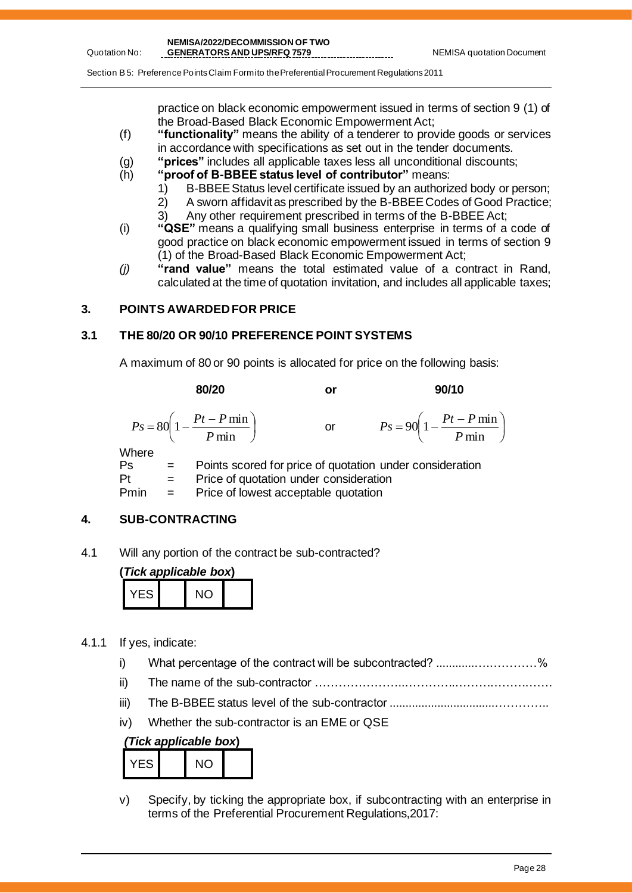Section B 5: Preference Points Claim Form ito the Preferential Procurement Regulations 2011

practice on black economic empowerment issued in terms of section 9 (1) of the Broad-Based Black Economic Empowerment Act;

- (f) **"functionality"** means the ability of a tenderer to provide goods or services in accordance with specifications as set out in the tender documents.
- (g) **"prices"** includes all applicable taxes less all unconditional discounts;
- (h) **"proof of B-BBEE status level of contributor"** means:
	- 1) B-BBEE Status level certificate issued by an authorized body or person;
	- 2) A sworn affidavit as prescribed by the B-BBEE Codes of Good Practice;
	- 3) Any other requirement prescribed in terms of the B-BBEE Act;
- (i) **"QSE"** means a qualifying small business enterprise in terms of a code of good practice on black economic empowerment issued in terms of section 9 (1) of the Broad-Based Black Economic Empowerment Act;
- *(j)* **"rand value"** means the total estimated value of a contract in Rand, calculated at the time of quotation invitation, and includes all applicable taxes;

## **3. POINTS AWARDED FOR PRICE**

Quotation No:

## **3.1 THE 80/20 OR 90/10 PREFERENCE POINT SYSTEMS**

A maximum of 80 or 90 points is allocated for price on the following basis:

80/20 or 90/10  
\n
$$
P_s = 80 \left( 1 - \frac{Pt - P \min}{P \min} \right) \qquad \text{or} \qquad P_s = 90 \left( 1 - \frac{Pt - P \min}{P \min} \right)
$$
\nWhere  
\nPs = Points scored for price of quotation under consideration

rea ror price or quotation under consideration  $Pt =$  Price of quotation under consideration Pmin = Price of lowest acceptable quotation

## **4. SUB-CONTRACTING**

4.1 Will any portion of the contract be sub-contracted?

| (Tick applicable box) |  |     |  |  |  |
|-----------------------|--|-----|--|--|--|
| YES I                 |  | NO. |  |  |  |

- 4.1.1 If yes, indicate:
	- i) What percentage of the contract will be subcontracted? ............….…………%
	- ii) The name of the sub-contractor …………………..………….…………………….
	- iii) The B-BBEE status level of the sub-contractor .................................…………..
	- iv) Whether the sub-contractor is an EME or QSE

## *(Tick applicable box***)**

| /ES | NΟ |  |
|-----|----|--|
|     |    |  |

v) Specify, by ticking the appropriate box, if subcontracting with an enterprise in terms of the Preferential Procurement Regulations,2017: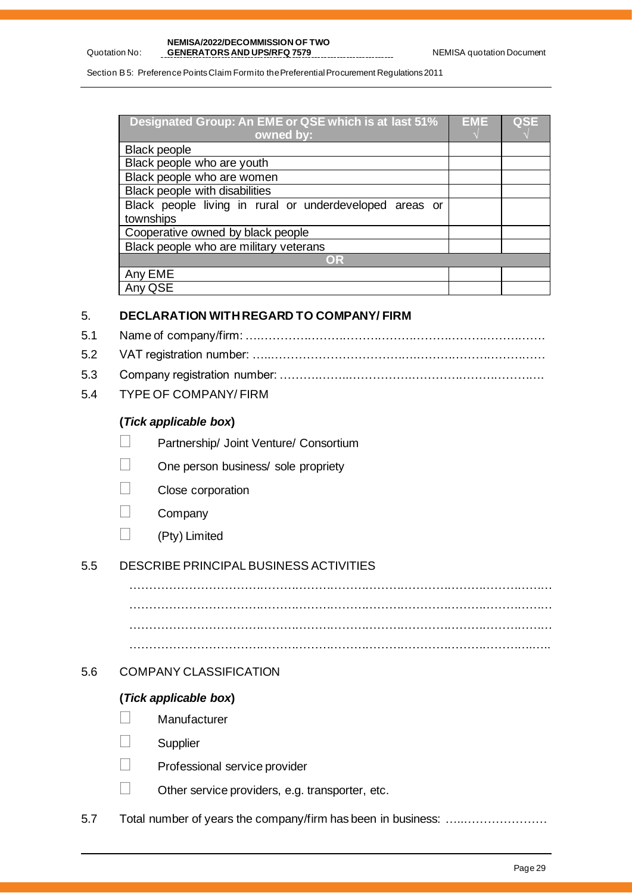Section B 5: Preference Points Claim Formito the Preferential Procurement Regulations 2011

| <b>Designated Group: An EME or QSE which is at last 51%</b> | EME | QSE |
|-------------------------------------------------------------|-----|-----|
| owned by:                                                   |     |     |
| <b>Black people</b>                                         |     |     |
| Black people who are youth                                  |     |     |
| Black people who are women                                  |     |     |
| <b>Black people with disabilities</b>                       |     |     |
| Black people living in rural or underdeveloped areas or     |     |     |
| townships                                                   |     |     |
| Cooperative owned by black people                           |     |     |
| Black people who are military veterans                      |     |     |
| OR                                                          |     |     |
| Any EME                                                     |     |     |
| Anv                                                         |     |     |

## 5. **DECLARATION WITH REGARD TO COMPANY/ FIRM**

- 5.1 Name of company/firm: ….……………………………………………………………….
- 5.2 VAT registration number: …..……………………………….……………………………
- 5.3 Company registration number: ……….……..…………….…………………………….
- 5.4 TYPE OF COMPANY/ FIRM

Quotation No:

## **(***Tick applicable box***)**

- Partnership/ Joint Venture/ Consortium
- One person business/ sole propriety
- Close corporation
- **Company**
- $\Box$  (Pty) Limited

## 5.5 DESCRIBE PRINCIPAL BUSINESS ACTIVITIES

……………………………………………………………………………………………… ……………………………………………………………………………………………… ……………………………………………………………………………………………… ………………………………………………………………………………………….…..

## 5.6 COMPANY CLASSIFICATION

## **(***Tick applicable box***)**

- **Manufacturer**
- **Supplier**
- Professional service provider
- Other service providers, e.g. transporter, etc.

5.7 Total number of years the company/firm has been in business: …..…………………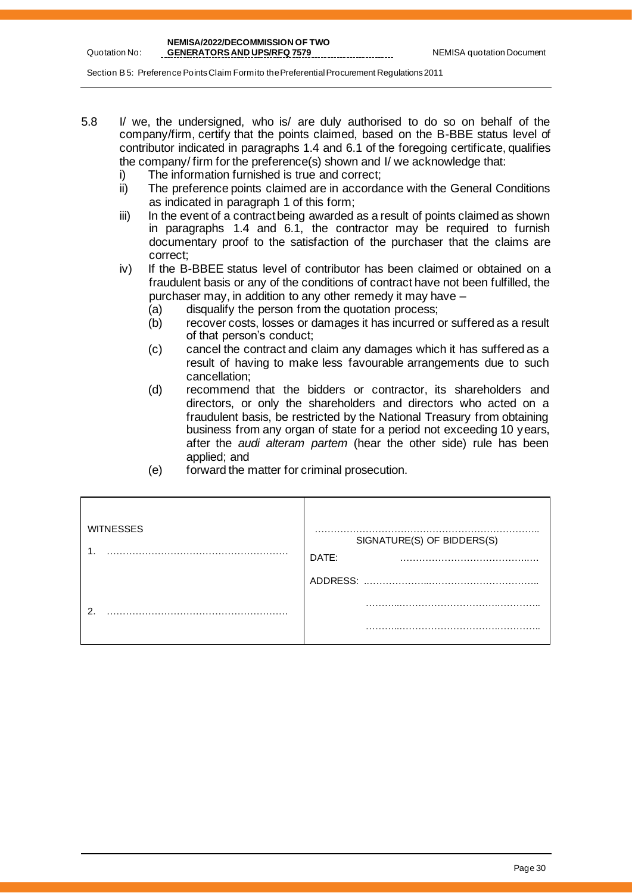Quotation No:

Section B 5: Preference Points Claim Formito the Preferential Procurement Regulations 2011

- 5.8 I/ we, the undersigned, who is/ are duly authorised to do so on behalf of the company/firm, certify that the points claimed, based on the B-BBE status level of contributor indicated in paragraphs 1.4 and 6.1 of the foregoing certificate, qualifies the company/ firm for the preference(s) shown and I/ we acknowledge that:
	- i) The information furnished is true and correct;
	- ii) The preference points claimed are in accordance with the General Conditions as indicated in paragraph 1 of this form;
	- iii) In the event of a contract being awarded as a result of points claimed as shown in paragraphs 1.4 and 6.1, the contractor may be required to furnish documentary proof to the satisfaction of the purchaser that the claims are correct;
	- iv) If the B-BBEE status level of contributor has been claimed or obtained on a fraudulent basis or any of the conditions of contract have not been fulfilled, the purchaser may, in addition to any other remedy it may have –
		- (a) disqualify the person from the quotation process;
		- (b) recover costs, losses or damages it has incurred or suffered as a result of that person's conduct;
		- (c) cancel the contract and claim any damages which it has suffered as a result of having to make less favourable arrangements due to such cancellation;
		- (d) recommend that the bidders or contractor, its shareholders and directors, or only the shareholders and directors who acted on a fraudulent basis, be restricted by the National Treasury from obtaining business from any organ of state for a period not exceeding 10 years, after the *audi alteram partem* (hear the other side) rule has been applied; and
		- (e) forward the matter for criminal prosecution.

| <b>WITNESSES</b> | SIGNATURE(S) OF BIDDERS(S)<br>DATE: |
|------------------|-------------------------------------|
|                  | ADDRESS:                            |
| ົ                |                                     |
|                  | .                                   |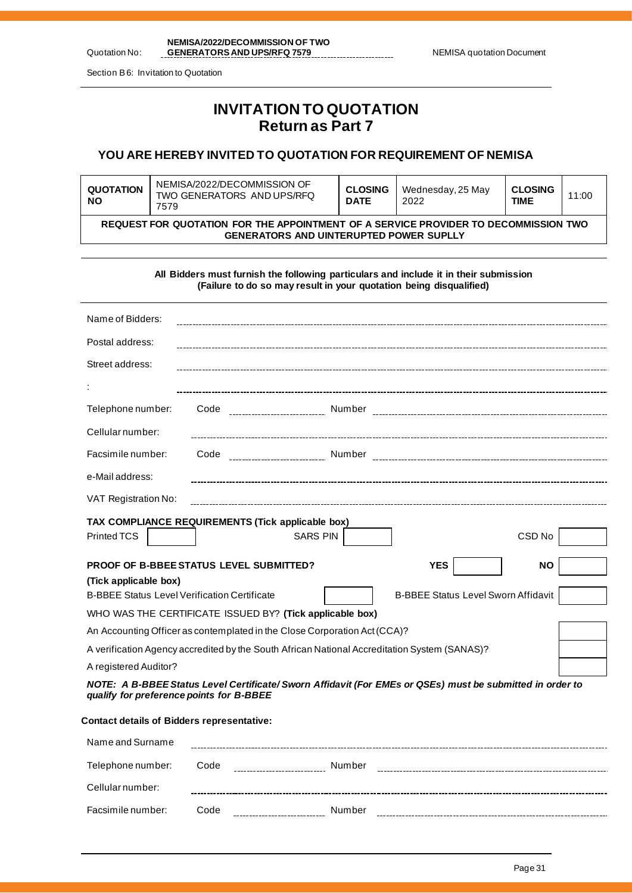Quotation No: **NEMISA/2022/DECOMMISSION OF TWO**  GENERATORS AND UPS/RFQ 7579 NEMISA quotation Document

Section B 6: Invitation to Quotation

## **INVITATION TO QUOTATION Return as Part 7**

## **YOU ARE HEREBY INVITED TO QUOTATION FOR REQUIREMENT OF NEMISA**

| QUOTATION<br><b>NO</b>                                                                                                                | NEMISA/2022/DECOMMISSION OF<br>TWO GENERATORS AND UPS/RFQ<br>7579 | <b>CLOSING</b><br><b>DATE</b> | Wednesday, 25 May<br>2022 | <b>CLOSING</b><br><b>TIME</b> | 11:00 |
|---------------------------------------------------------------------------------------------------------------------------------------|-------------------------------------------------------------------|-------------------------------|---------------------------|-------------------------------|-------|
| REQUEST FOR QUOTATION FOR THE APPOINTMENT OF A SERVICE PROVIDER TO DECOMMISSION TWO<br><b>GENERATORS AND UINTERUPTED POWER SUPLLY</b> |                                                                   |                               |                           |                               |       |

**All Bidders must furnish the following particulars and include it in their submission (Failure to do so may result in your quotation being disqualified)**

| Name of Bidders:                                                                                                                                                          |                                                          |                 |                                                                                                           |           |  |
|---------------------------------------------------------------------------------------------------------------------------------------------------------------------------|----------------------------------------------------------|-----------------|-----------------------------------------------------------------------------------------------------------|-----------|--|
| Postal address:                                                                                                                                                           |                                                          |                 |                                                                                                           |           |  |
| Street address:                                                                                                                                                           |                                                          |                 |                                                                                                           |           |  |
|                                                                                                                                                                           |                                                          |                 |                                                                                                           |           |  |
| Telephone number:                                                                                                                                                         | Code                                                     |                 |                                                                                                           |           |  |
| Cellular number:                                                                                                                                                          |                                                          |                 |                                                                                                           |           |  |
| Facsimile number:                                                                                                                                                         |                                                          |                 |                                                                                                           |           |  |
| e-Mail address:                                                                                                                                                           |                                                          |                 |                                                                                                           |           |  |
| VAT Registration No:                                                                                                                                                      |                                                          |                 |                                                                                                           |           |  |
| Printed TCS                                                                                                                                                               | TAX COMPLIANCE REQUIREMENTS (Tick applicable box)        | <b>SARS PIN</b> |                                                                                                           | CSD No    |  |
|                                                                                                                                                                           |                                                          |                 |                                                                                                           |           |  |
|                                                                                                                                                                           | <b>PROOF OF B-BBEE STATUS LEVEL SUBMITTED?</b>           |                 | <b>YES</b>                                                                                                | <b>NO</b> |  |
| (Tick applicable box)<br><b>B-BBEE Status Level Verification Certificate</b>                                                                                              |                                                          |                 | <b>B-BBEE Status Level Sworn Affidavit</b>                                                                |           |  |
|                                                                                                                                                                           |                                                          |                 |                                                                                                           |           |  |
|                                                                                                                                                                           | WHO WAS THE CERTIFICATE ISSUED BY? (Tick applicable box) |                 |                                                                                                           |           |  |
| An Accounting Officer as contemplated in the Close Corporation Act (CCA)?<br>A verification Agency accredited by the South African National Accreditation System (SANAS)? |                                                          |                 |                                                                                                           |           |  |
| A registered Auditor?                                                                                                                                                     |                                                          |                 |                                                                                                           |           |  |
| qualify for preference points for B-BBEE                                                                                                                                  |                                                          |                 | NOTE: A B-BBEE Status Level Certificate/ Sworn Affidavit (For EMEs or QSEs) must be submitted in order to |           |  |
| <b>Contact details of Bidders representative:</b>                                                                                                                         |                                                          |                 |                                                                                                           |           |  |
| Name and Surname                                                                                                                                                          |                                                          |                 |                                                                                                           |           |  |

| Tagine and Odiname |      |        |  |
|--------------------|------|--------|--|
| Telephone number:  | Code | Number |  |
| Cellular number:   |      |        |  |
| Facsimile number:  | Code | Number |  |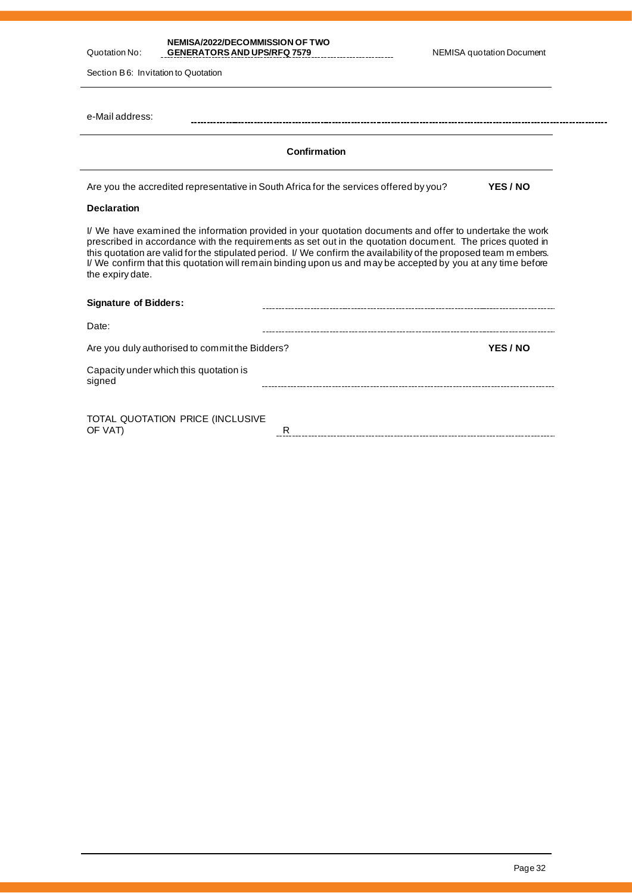| <b>NEMISA/2022/DECOMMISSION OF TWO</b><br>Quotation No:<br><b>GENERATORS AND UPS/RFQ 7579</b><br>Section B6: Invitation to Quotation                                                                                                                                                                                                                                                                                                                                          |              | <b>NEMISA quotation Document</b> |
|-------------------------------------------------------------------------------------------------------------------------------------------------------------------------------------------------------------------------------------------------------------------------------------------------------------------------------------------------------------------------------------------------------------------------------------------------------------------------------|--------------|----------------------------------|
| e-Mail address:                                                                                                                                                                                                                                                                                                                                                                                                                                                               |              |                                  |
|                                                                                                                                                                                                                                                                                                                                                                                                                                                                               | Confirmation |                                  |
| Are you the accredited representative in South Africa for the services offered by you?                                                                                                                                                                                                                                                                                                                                                                                        |              | YES / NO                         |
| <b>Declaration</b>                                                                                                                                                                                                                                                                                                                                                                                                                                                            |              |                                  |
| I/ We have examined the information provided in your quotation documents and offer to undertake the work<br>prescribed in accordance with the requirements as set out in the quotation document. The prices quoted in<br>this quotation are valid for the stipulated period. I/ We confirm the availability of the proposed team m embers.<br>I/ We confirm that this quotation will remain binding upon us and may be accepted by you at any time before<br>the expiry date. |              |                                  |
| <b>Signature of Bidders:</b>                                                                                                                                                                                                                                                                                                                                                                                                                                                  |              |                                  |
| Date:                                                                                                                                                                                                                                                                                                                                                                                                                                                                         |              |                                  |
| Are you duly authorised to commit the Bidders?                                                                                                                                                                                                                                                                                                                                                                                                                                |              | YES / NO                         |
| Capacity under which this quotation is<br>signed                                                                                                                                                                                                                                                                                                                                                                                                                              |              |                                  |
| TOTAL QUOTATION PRICE (INCLUSIVE<br>OF VAT)                                                                                                                                                                                                                                                                                                                                                                                                                                   | R.           |                                  |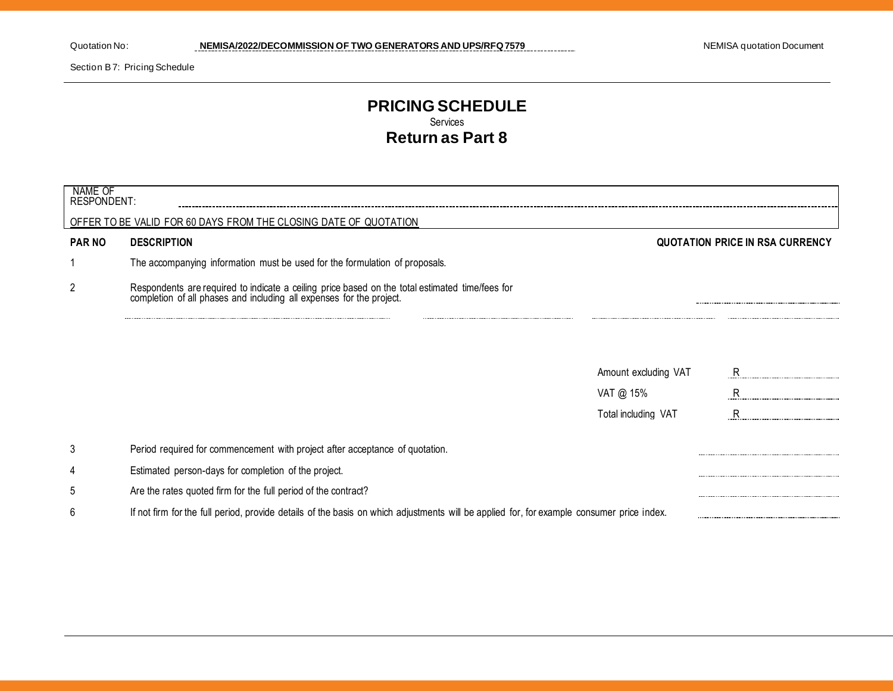Section B 7: Pricing Schedule

## **PRICING SCHEDULE** Services **Return as Part 8**

| NAME OF<br><b>RESPONDENT:</b> |                                                                                                                                                                      |                      |                                        |
|-------------------------------|----------------------------------------------------------------------------------------------------------------------------------------------------------------------|----------------------|----------------------------------------|
|                               | OFFER TO BE VALID FOR 60 DAYS FROM THE CLOSING DATE OF QUOTATION                                                                                                     |                      |                                        |
| <b>PAR NO</b>                 | <b>DESCRIPTION</b>                                                                                                                                                   |                      | <b>QUOTATION PRICE IN RSA CURRENCY</b> |
|                               | The accompanying information must be used for the formulation of proposals.                                                                                          |                      |                                        |
| $\overline{c}$                | Respondents are required to indicate a ceiling price based on the total estimated time/fees for completion of all phases and including all expenses for the project. |                      |                                        |
|                               |                                                                                                                                                                      |                      |                                        |
|                               |                                                                                                                                                                      | Amount excluding VAT | R                                      |
|                               |                                                                                                                                                                      | VAT @ 15%            | R                                      |
|                               |                                                                                                                                                                      | Total including VAT  | R                                      |
| 3                             | Period required for commencement with project after acceptance of quotation.                                                                                         |                      |                                        |
| 4                             | Estimated person-days for completion of the project.                                                                                                                 |                      |                                        |
| 5                             | Are the rates quoted firm for the full period of the contract?                                                                                                       |                      |                                        |
| 6                             | If not firm for the full period, provide details of the basis on which adjustments will be applied for, for example consumer price index.                            |                      |                                        |